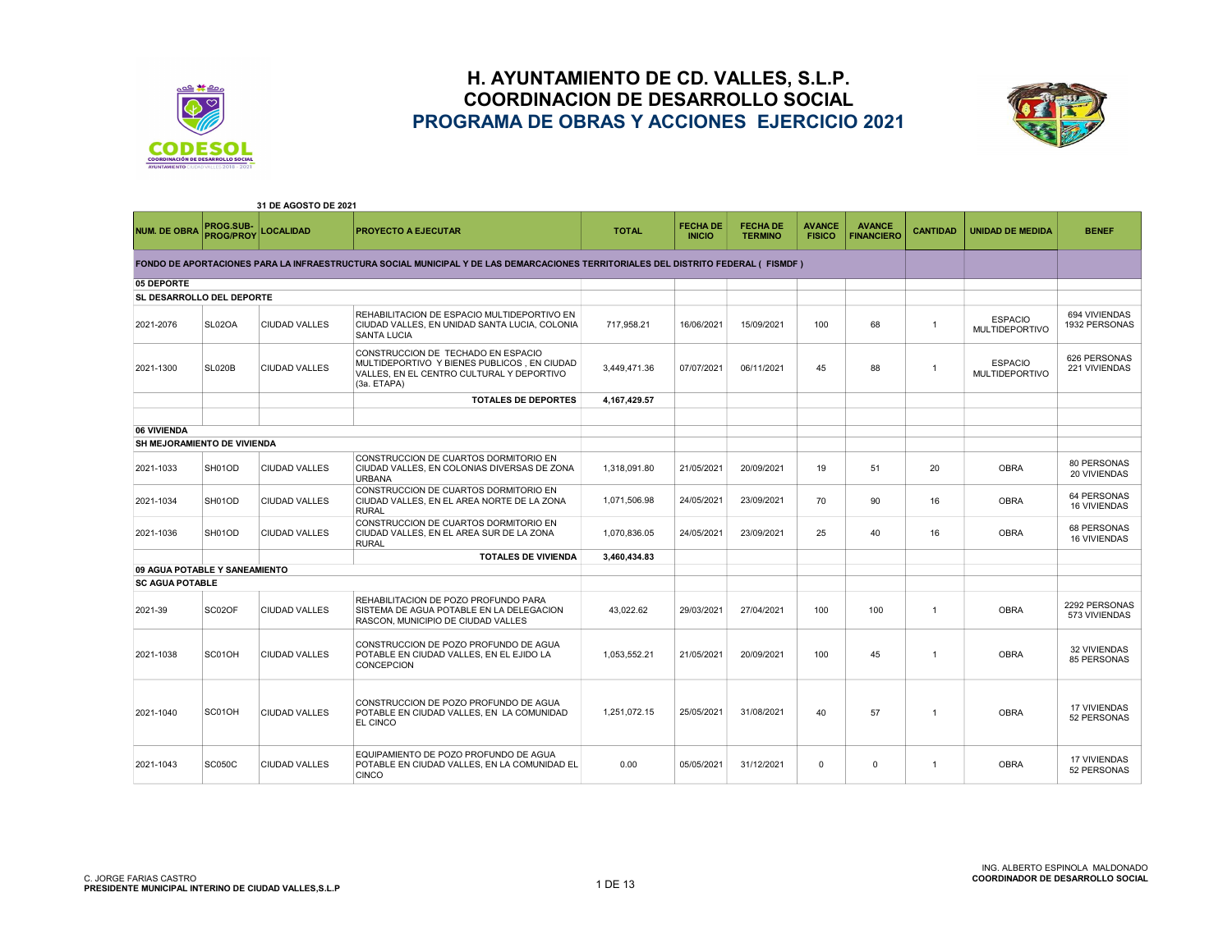



|                                  |                               | 31 DE AGOSTO DE 2021 |                                                                                                                                               |              |                                  |                                   |                                |                                    |                 |                                         |                                           |
|----------------------------------|-------------------------------|----------------------|-----------------------------------------------------------------------------------------------------------------------------------------------|--------------|----------------------------------|-----------------------------------|--------------------------------|------------------------------------|-----------------|-----------------------------------------|-------------------------------------------|
| <b>NUM. DE OBRA</b>              | PROG.SUB-<br><b>PROG/PROY</b> | <b>LOCALIDAD</b>     | <b>PROYECTO A EJECUTAR</b>                                                                                                                    | <b>TOTAL</b> | <b>FECHA DE</b><br><b>INICIO</b> | <b>FECHA DE</b><br><b>TERMINO</b> | <b>AVANCE</b><br><b>FISICO</b> | <b>AVANCE</b><br><b>FINANCIERO</b> | <b>CANTIDAD</b> | <b>UNIDAD DE MEDIDA</b>                 | <b>BENEF</b>                              |
|                                  |                               |                      | FONDO DE APORTACIONES PARA LA INFRAESTRUCTURA SOCIAL MUNICIPAL Y DE LAS DEMARCACIONES TERRITORIALES DEL DISTRITO FEDERAL (FISMDF)             |              |                                  |                                   |                                |                                    |                 |                                         |                                           |
| 05 DEPORTE                       |                               |                      |                                                                                                                                               |              |                                  |                                   |                                |                                    |                 |                                         |                                           |
| <b>SL DESARROLLO DEL DEPORTE</b> |                               |                      |                                                                                                                                               |              |                                  |                                   |                                |                                    |                 |                                         |                                           |
| 2021-2076                        | SL02OA                        | <b>CIUDAD VALLES</b> | REHABILITACION DE ESPACIO MULTIDEPORTIVO EN<br>CIUDAD VALLES, EN UNIDAD SANTA LUCIA, COLONIA<br><b>SANTA LUCIA</b>                            | 717.958.21   | 16/06/2021                       | 15/09/2021                        | 100                            | 68                                 | $\overline{1}$  | <b>ESPACIO</b><br><b>MULTIDEPORTIVO</b> | 694 VIVIENDAS<br>1932 PERSONAS            |
| 2021-1300                        | <b>SL020B</b>                 | <b>CIUDAD VALLES</b> | CONSTRUCCION DE TECHADO EN ESPACIO<br>MULTIDEPORTIVO Y BIENES PUBLICOS. EN CIUDAD<br>VALLES. EN EL CENTRO CULTURAL Y DEPORTIVO<br>(3a. ETAPA) | 3,449,471.36 | 07/07/2021                       | 06/11/2021                        | 45                             | 88                                 | $\overline{1}$  | <b>ESPACIO</b><br><b>MULTIDEPORTIVO</b> | 626 PERSONAS<br>221 VIVIENDAS             |
|                                  |                               |                      | <b>TOTALES DE DEPORTES</b>                                                                                                                    | 4,167,429.57 |                                  |                                   |                                |                                    |                 |                                         |                                           |
|                                  |                               |                      |                                                                                                                                               |              |                                  |                                   |                                |                                    |                 |                                         |                                           |
| 06 VIVIENDA                      |                               |                      |                                                                                                                                               |              |                                  |                                   |                                |                                    |                 |                                         |                                           |
| SH MEJORAMIENTO DE VIVIENDA      |                               |                      |                                                                                                                                               |              |                                  |                                   |                                |                                    |                 |                                         |                                           |
| 2021-1033                        | SH01OD                        | <b>CIUDAD VALLES</b> | CONSTRUCCION DE CUARTOS DORMITORIO EN<br>CIUDAD VALLES. EN COLONIAS DIVERSAS DE ZONA<br><b>URBANA</b>                                         | 1.318.091.80 | 21/05/2021                       | 20/09/2021                        | 19                             | 51                                 | 20              | <b>OBRA</b>                             | 80 PERSONAS<br>20 VIVIENDAS               |
| 2021-1034                        | SH01OD                        | <b>CIUDAD VALLES</b> | CONSTRUCCION DE CUARTOS DORMITORIO EN<br>CIUDAD VALLES. EN EL AREA NORTE DE LA ZONA<br><b>RURAL</b>                                           | 1,071,506.98 | 24/05/2021                       | 23/09/2021                        | 70                             | 90                                 | 16              | <b>OBRA</b>                             | <b>64 PERSONAS</b><br><b>16 VIVIENDAS</b> |
| 2021-1036                        | SH01OD                        | <b>CIUDAD VALLES</b> | CONSTRUCCION DE CUARTOS DORMITORIO EN<br>CIUDAD VALLES, EN EL AREA SUR DE LA ZONA<br><b>RURAL</b>                                             | 1,070,836.05 | 24/05/2021                       | 23/09/2021                        | 25                             | 40                                 | 16              | <b>OBRA</b>                             | 68 PERSONAS<br><b>16 VIVIENDAS</b>        |
|                                  |                               |                      | <b>TOTALES DE VIVIENDA</b>                                                                                                                    | 3,460,434.83 |                                  |                                   |                                |                                    |                 |                                         |                                           |
| 09 AGUA POTABLE Y SANEAMIENTO    |                               |                      |                                                                                                                                               |              |                                  |                                   |                                |                                    |                 |                                         |                                           |
| <b>SC AGUA POTABLE</b>           |                               |                      |                                                                                                                                               |              |                                  |                                   |                                |                                    |                 |                                         |                                           |
| 2021-39                          | SC02OF                        | <b>CIUDAD VALLES</b> | REHABILITACION DE POZO PROFUNDO PARA<br>SISTEMA DE AGUA POTABLE EN LA DELEGACION<br>RASCON, MUNICIPIO DE CIUDAD VALLES                        | 43,022.62    | 29/03/2021                       | 27/04/2021                        | 100                            | 100                                | $\overline{1}$  | <b>OBRA</b>                             | 2292 PERSONAS<br>573 VIVIENDAS            |
| 2021-1038                        | SC01OH                        | <b>CIUDAD VALLES</b> | CONSTRUCCION DE POZO PROFUNDO DE AGUA<br>POTABLE EN CIUDAD VALLES, EN EL EJIDO LA<br><b>CONCEPCION</b>                                        | 1.053.552.21 | 21/05/2021                       | 20/09/2021                        | 100                            | 45                                 | $\overline{1}$  | <b>OBRA</b>                             | <b>32 VIVIENDAS</b><br>85 PERSONAS        |
| 2021-1040                        | SC01OH                        | <b>CIUDAD VALLES</b> | CONSTRUCCION DE POZO PROFUNDO DE AGUA<br>POTABLE EN CIUDAD VALLES, EN LA COMUNIDAD<br>EL CINCO                                                | 1,251,072.15 | 25/05/2021                       | 31/08/2021                        | 40                             | 57                                 | $\overline{1}$  | <b>OBRA</b>                             | <b>17 VIVIENDAS</b><br>52 PERSONAS        |
| 2021-1043                        | <b>SC050C</b>                 | <b>CIUDAD VALLES</b> | EQUIPAMIENTO DE POZO PROFUNDO DE AGUA<br>POTABLE EN CIUDAD VALLES. EN LA COMUNIDAD EL<br><b>CINCO</b>                                         | 0.00         | 05/05/2021                       | 31/12/2021                        | $\mathbf 0$                    | $\mathbf 0$                        | $\overline{1}$  | <b>OBRA</b>                             | <b>17 VIVIENDAS</b><br>52 PERSONAS        |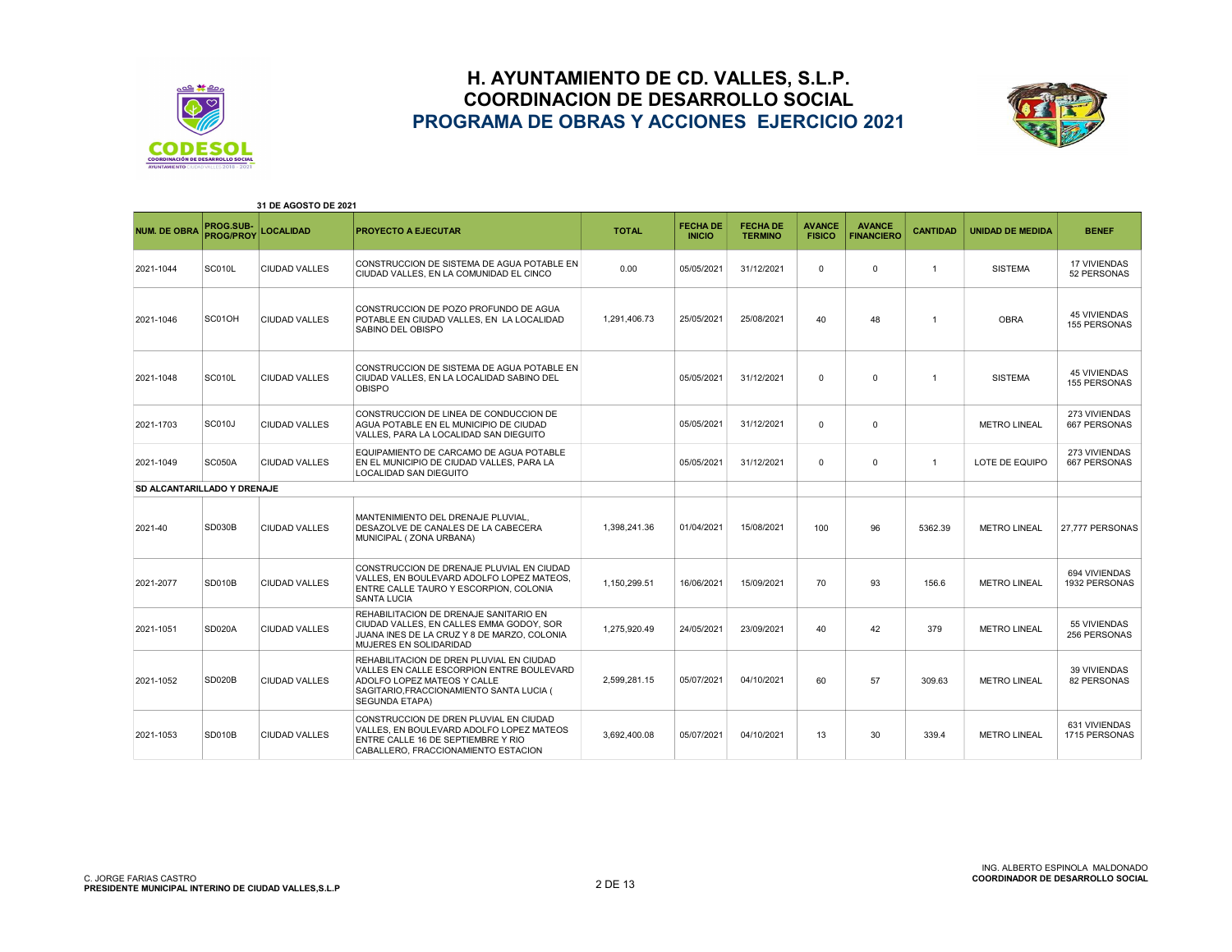



| 31 DE AGOSTO DE 2021               |                               |                      |                                                                                                                                                                                           |              |                                  |                                   |                                |                                    |                 |                         |                                            |
|------------------------------------|-------------------------------|----------------------|-------------------------------------------------------------------------------------------------------------------------------------------------------------------------------------------|--------------|----------------------------------|-----------------------------------|--------------------------------|------------------------------------|-----------------|-------------------------|--------------------------------------------|
| <b>NUM. DE OBRA</b>                | PROG.SUB-<br><b>PROG/PROY</b> | <b>LOCALIDAD</b>     | <b>PROYECTO A EJECUTAR</b>                                                                                                                                                                | <b>TOTAL</b> | <b>FECHA DE</b><br><b>INICIO</b> | <b>FECHA DE</b><br><b>TERMINO</b> | <b>AVANCE</b><br><b>FISICO</b> | <b>AVANCE</b><br><b>FINANCIERO</b> | <b>CANTIDAD</b> | <b>UNIDAD DE MEDIDA</b> | <b>BENEF</b>                               |
| 2021-1044                          | SC010L                        | <b>CIUDAD VALLES</b> | CONSTRUCCION DE SISTEMA DE AGUA POTABLE EN<br>CIUDAD VALLES. EN LA COMUNIDAD EL CINCO                                                                                                     | 0.00         | 05/05/2021                       | 31/12/2021                        | $\Omega$                       | $\mathbf 0$                        | $\mathbf{1}$    | <b>SISTEMA</b>          | <b>17 VIVIENDAS</b><br>52 PERSONAS         |
| 2021-1046                          | SC01OH                        | <b>CIUDAD VALLES</b> | CONSTRUCCION DE POZO PROFUNDO DE AGUA<br>POTABLE EN CIUDAD VALLES. EN LA LOCALIDAD<br>SABINO DEL OBISPO                                                                                   | 1,291,406.73 | 25/05/2021                       | 25/08/2021                        | 40                             | 48                                 | $\overline{1}$  | <b>OBRA</b>             | <b>45 VIVIENDAS</b><br><b>155 PERSONAS</b> |
| 2021-1048                          | SC010L                        | <b>CIUDAD VALLES</b> | CONSTRUCCION DE SISTEMA DE AGUA POTABLE EN<br>CIUDAD VALLES, EN LA LOCALIDAD SABINO DEL<br><b>OBISPO</b>                                                                                  |              | 05/05/2021                       | 31/12/2021                        | $\Omega$                       | $\mathbf 0$                        | $\mathbf{1}$    | <b>SISTEMA</b>          | <b>45 VIVIENDAS</b><br>155 PERSONAS        |
| 2021-1703                          | <b>SC010J</b>                 | <b>CIUDAD VALLES</b> | CONSTRUCCION DE LINEA DE CONDUCCION DE<br>AGUA POTABLE EN EL MUNICIPIO DE CIUDAD<br>VALLES, PARA LA LOCALIDAD SAN DIEGUITO                                                                |              | 05/05/2021                       | 31/12/2021                        | $\mathbf 0$                    | $\mathbf 0$                        |                 | <b>METRO LINEAL</b>     | 273 VIVIENDAS<br>667 PERSONAS              |
| 2021-1049                          | <b>SC050A</b>                 | <b>CIUDAD VALLES</b> | EQUIPAMIENTO DE CARCAMO DE AGUA POTABLE<br>EN EL MUNICIPIO DE CIUDAD VALLES, PARA LA<br><b>LOCALIDAD SAN DIEGUITO</b>                                                                     |              | 05/05/2021                       | 31/12/2021                        | $\Omega$                       | $\Omega$                           | $\mathbf{1}$    | LOTE DE EQUIPO          | 273 VIVIENDAS<br>667 PERSONAS              |
| <b>SD ALCANTARILLADO Y DRENAJE</b> |                               |                      |                                                                                                                                                                                           |              |                                  |                                   |                                |                                    |                 |                         |                                            |
| 2021-40                            | SD030B                        | <b>CIUDAD VALLES</b> | MANTENIMIENTO DEL DRENAJE PLUVIAL.<br>DESAZOLVE DE CANALES DE LA CABECERA<br>MUNICIPAL (ZONA URBANA)                                                                                      | 1.398.241.36 | 01/04/2021                       | 15/08/2021                        | 100                            | 96                                 | 5362.39         | <b>METRO LINEAL</b>     | 27.777 PERSONAS                            |
| 2021-2077                          | <b>SD010B</b>                 | <b>CIUDAD VALLES</b> | CONSTRUCCION DE DRENAJE PLUVIAL EN CIUDAD<br>VALLES. EN BOULEVARD ADOLFO LOPEZ MATEOS.<br>ENTRE CALLE TAURO Y ESCORPION, COLONIA<br><b>SANTA LUCIA</b>                                    | 1.150.299.51 | 16/06/2021                       | 15/09/2021                        | 70                             | 93                                 | 156.6           | <b>METRO LINEAL</b>     | 694 VIVIENDAS<br>1932 PERSONAS             |
| 2021-1051                          | <b>SD020A</b>                 | <b>CIUDAD VALLES</b> | REHABILITACION DE DRENAJE SANITARIO EN<br>CIUDAD VALLES, EN CALLES EMMA GODOY, SOR<br>JUANA INES DE LA CRUZ Y 8 DE MARZO, COLONIA<br>MUJERES EN SOLIDARIDAD                               | 1.275.920.49 | 24/05/2021                       | 23/09/2021                        | 40                             | 42                                 | 379             | <b>METRO LINEAL</b>     | 55 VIVIENDAS<br>256 PERSONAS               |
| 2021-1052                          | <b>SD020B</b>                 | <b>CIUDAD VALLES</b> | REHABILITACION DE DREN PLUVIAL EN CIUDAD<br>VALLES EN CALLE ESCORPION ENTRE BOULEVARD<br>ADOLFO LOPEZ MATEOS Y CALLE<br>SAGITARIO, FRACCIONAMIENTO SANTA LUCIA (<br><b>SEGUNDA ETAPA)</b> | 2.599.281.15 | 05/07/2021                       | 04/10/2021                        | 60                             | 57                                 | 309.63          | <b>METRO LINEAL</b>     | 39 VIVIENDAS<br>82 PERSONAS                |
| 2021-1053                          | <b>SD010B</b>                 | <b>CIUDAD VALLES</b> | CONSTRUCCION DE DREN PLUVIAL EN CIUDAD<br>VALLES, EN BOULEVARD ADOLFO LOPEZ MATEOS<br>ENTRE CALLE 16 DE SEPTIEMBRE Y RIO<br>CABALLERO, FRACCIONAMIENTO ESTACION                           | 3.692.400.08 | 05/07/2021                       | 04/10/2021                        | 13                             | 30                                 | 339.4           | <b>METRO LINEAL</b>     | 631 VIVIENDAS<br>1715 PERSONAS             |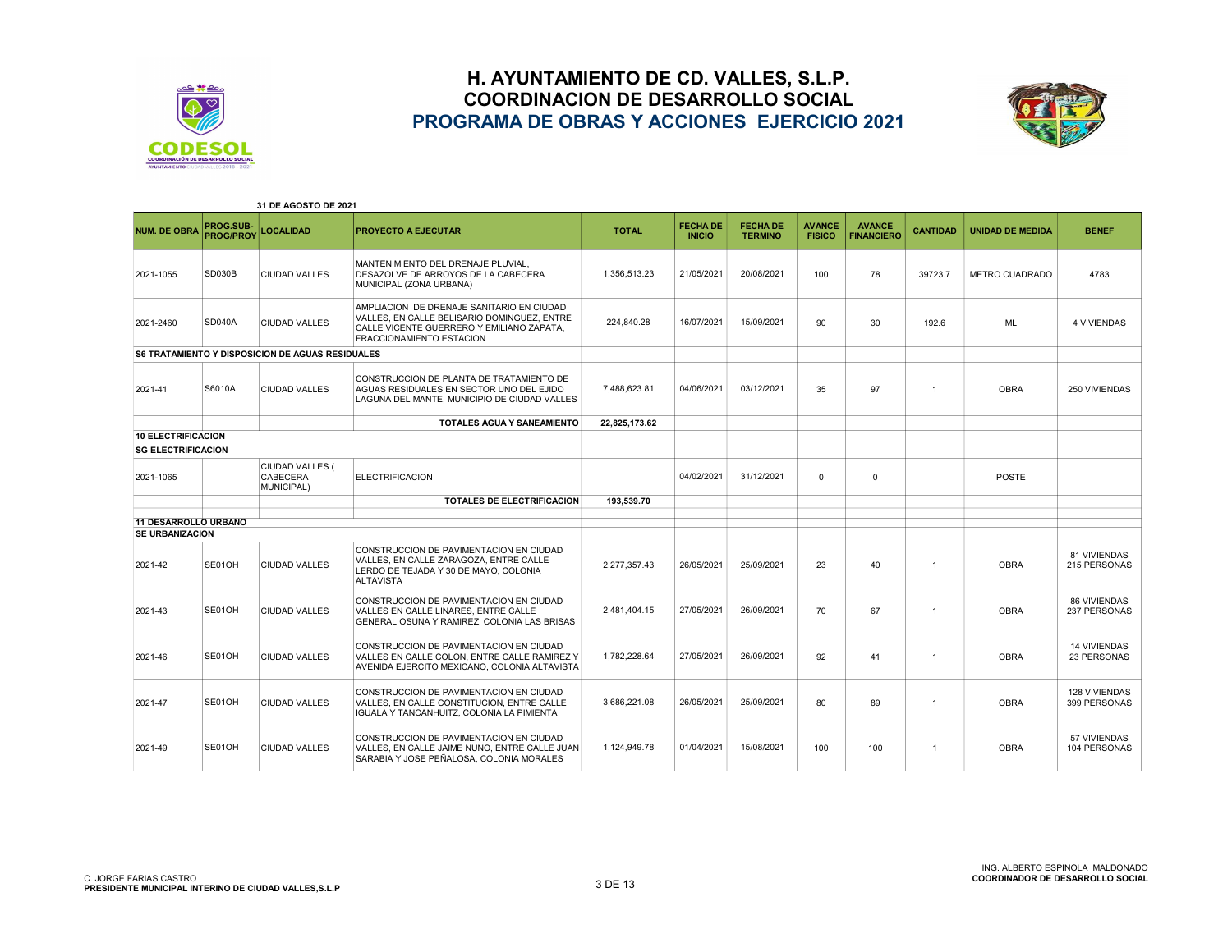



| 31 DE AGOSTO DE 2021        |                               |                                                                |                                                                                                                                                                   |               |                                  |                                   |                                |                                    |                 |                         |                                      |
|-----------------------------|-------------------------------|----------------------------------------------------------------|-------------------------------------------------------------------------------------------------------------------------------------------------------------------|---------------|----------------------------------|-----------------------------------|--------------------------------|------------------------------------|-----------------|-------------------------|--------------------------------------|
| <b>NUM. DE OBRA</b>         | PROG.SUB-<br><b>PROG/PROY</b> | <b>LOCALIDAD</b>                                               | <b>PROYECTO A EJECUTAR</b>                                                                                                                                        | <b>TOTAL</b>  | <b>FECHA DE</b><br><b>INICIO</b> | <b>FECHA DE</b><br><b>TERMINO</b> | <b>AVANCE</b><br><b>FISICO</b> | <b>AVANCE</b><br><b>FINANCIERO</b> | <b>CANTIDAD</b> | <b>UNIDAD DE MEDIDA</b> | <b>BENEF</b>                         |
| 2021-1055                   | <b>SD030B</b>                 | <b>CIUDAD VALLES</b>                                           | MANTENIMIENTO DEL DRENAJE PLUVIAL.<br>DESAZOLVE DE ARROYOS DE LA CABECERA<br>MUNICIPAL (ZONA URBANA)                                                              | 1,356,513.23  | 21/05/2021                       | 20/08/2021                        | 100                            | 78                                 | 39723.7         | <b>METRO CUADRADO</b>   | 4783                                 |
| 2021-2460                   | <b>SD040A</b>                 | <b>CIUDAD VALLES</b>                                           | AMPLIACION DE DRENAJE SANITARIO EN CIUDAD<br>VALLES. EN CALLE BELISARIO DOMINGUEZ. ENTRE<br>CALLE VICENTE GUERRERO Y EMILIANO ZAPATA,<br>FRACCIONAMIENTO ESTACION | 224.840.28    | 16/07/2021                       | 15/09/2021                        | 90                             | 30                                 | 192.6           | <b>ML</b>               | <b>4 VIVIENDAS</b>                   |
|                             |                               | <b>S6 TRATAMIENTO Y DISPOSICION DE AGUAS RESIDUALES</b>        |                                                                                                                                                                   |               |                                  |                                   |                                |                                    |                 |                         |                                      |
| 2021-41                     | S6010A                        | <b>CIUDAD VALLES</b>                                           | CONSTRUCCION DE PLANTA DE TRATAMIENTO DE<br>AGUAS RESIDUALES EN SECTOR UNO DEL EJIDO<br>LAGUNA DEL MANTE, MUNICIPIO DE CIUDAD VALLES                              | 7,488,623.81  | 04/06/2021                       | 03/12/2021                        | 35                             | 97                                 | $\overline{1}$  | <b>OBRA</b>             | 250 VIVIENDAS                        |
|                             |                               |                                                                | TOTALES AGUA Y SANEAMIENTO                                                                                                                                        | 22,825,173.62 |                                  |                                   |                                |                                    |                 |                         |                                      |
| <b>10 ELECTRIFICACION</b>   |                               |                                                                |                                                                                                                                                                   |               |                                  |                                   |                                |                                    |                 |                         |                                      |
| <b>SG ELECTRIFICACION</b>   |                               |                                                                |                                                                                                                                                                   |               |                                  |                                   |                                |                                    |                 |                         |                                      |
| 2021-1065                   |                               | <b>CIUDAD VALLES (</b><br><b>CABECERA</b><br><b>MUNICIPAL)</b> | <b>ELECTRIFICACION</b>                                                                                                                                            |               | 04/02/2021                       | 31/12/2021                        | $\Omega$                       | $\Omega$                           |                 | POSTE                   |                                      |
|                             |                               |                                                                | TOTALES DE ELECTRIFICACION                                                                                                                                        | 193.539.70    |                                  |                                   |                                |                                    |                 |                         |                                      |
| <b>11 DESARROLLO URBANO</b> |                               |                                                                |                                                                                                                                                                   |               |                                  |                                   |                                |                                    |                 |                         |                                      |
| <b>SE URBANIZACION</b>      |                               |                                                                |                                                                                                                                                                   |               |                                  |                                   |                                |                                    |                 |                         |                                      |
| 2021-42                     | SE01OH                        | <b>CIUDAD VALLES</b>                                           | CONSTRUCCION DE PAVIMENTACION EN CIUDAD<br>VALLES. EN CALLE ZARAGOZA. ENTRE CALLE<br>LERDO DE TEJADA Y 30 DE MAYO, COLONIA<br><b>ALTAVISTA</b>                    | 2.277.357.43  | 26/05/2021                       | 25/09/2021                        | 23                             | 40                                 | $\overline{1}$  | <b>OBRA</b>             | 81 VIVIENDAS<br>215 PERSONAS         |
| 2021-43                     | SE01OH                        | <b>CIUDAD VALLES</b>                                           | CONSTRUCCION DE PAVIMENTACION EN CIUDAD<br>VALLES EN CALLE LINARES. ENTRE CALLE<br>GENERAL OSUNA Y RAMIREZ, COLONIA LAS BRISAS                                    | 2.481.404.15  | 27/05/2021                       | 26/09/2021                        | 70                             | 67                                 | $\overline{1}$  | <b>OBRA</b>             | <b>86 VIVIENDAS</b><br>237 PERSONAS  |
| 2021-46                     | SE01OH                        | <b>CIUDAD VALLES</b>                                           | CONSTRUCCION DE PAVIMENTACION EN CIUDAD<br>VALLES EN CALLE COLON. ENTRE CALLE RAMIREZ Y<br>AVENIDA EJERCITO MEXICANO, COLONIA ALTAVISTA                           | 1.782.228.64  | 27/05/2021                       | 26/09/2021                        | 92                             | 41                                 | $\overline{1}$  | <b>OBRA</b>             | <b>14 VIVIENDAS</b><br>23 PERSONAS   |
| 2021-47                     | SE01OH                        | <b>CIUDAD VALLES</b>                                           | CONSTRUCCION DE PAVIMENTACION EN CIUDAD<br>VALLES. EN CALLE CONSTITUCION. ENTRE CALLE<br>IGUALA Y TANCANHUITZ, COLONIA LA PIMIENTA                                | 3.686.221.08  | 26/05/2021                       | 25/09/2021                        | 80                             | 89                                 | $\overline{1}$  | <b>OBRA</b>             | <b>128 VIVIENDAS</b><br>399 PERSONAS |
| 2021-49                     | SE01OH                        | <b>CIUDAD VALLES</b>                                           | CONSTRUCCION DE PAVIMENTACION EN CIUDAD<br>VALLES, EN CALLE JAIME NUNO, ENTRE CALLE JUAN<br>SARABIA Y JOSE PEÑALOSA, COLONIA MORALES                              | 1.124.949.78  | 01/04/2021                       | 15/08/2021                        | 100                            | 100                                | $\overline{1}$  | <b>OBRA</b>             | 57 VIVIENDAS<br>104 PERSONAS         |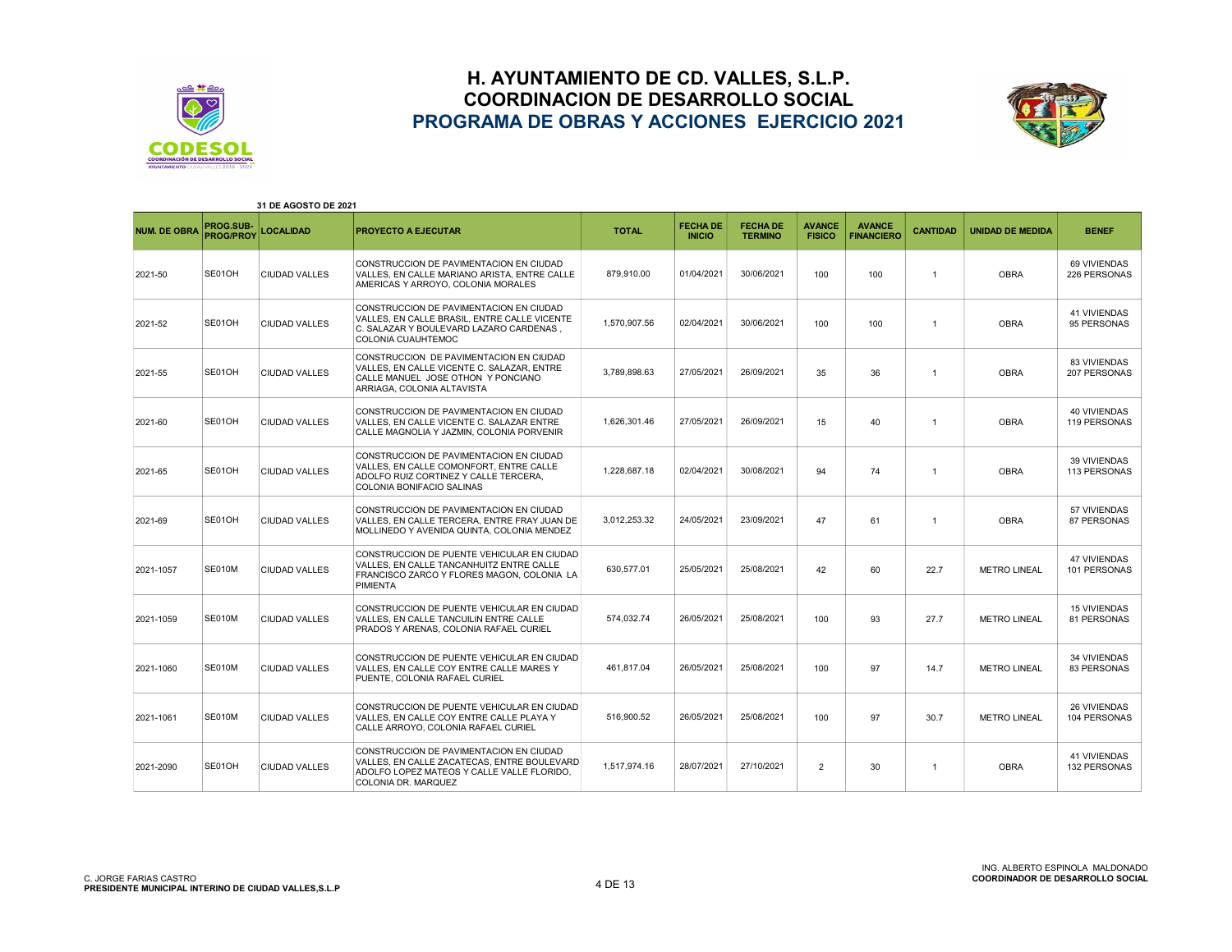



| 31 DE AGOSTO DE 2021 |                               |                      |                                                                                                                                                                 |              |                                  |                                   |                                |                                    |                 |                         |                                            |
|----------------------|-------------------------------|----------------------|-----------------------------------------------------------------------------------------------------------------------------------------------------------------|--------------|----------------------------------|-----------------------------------|--------------------------------|------------------------------------|-----------------|-------------------------|--------------------------------------------|
| <b>NUM. DE OBRA</b>  | PROG.SUB-<br><b>PROG/PROY</b> | <b>LOCALIDAD</b>     | <b>PROYECTO A EJECUTAR</b>                                                                                                                                      | <b>TOTAL</b> | <b>FECHA DE</b><br><b>INICIO</b> | <b>FECHA DE</b><br><b>TERMINO</b> | <b>AVANCE</b><br><b>FISICO</b> | <b>AVANCE</b><br><b>FINANCIERO</b> | <b>CANTIDAD</b> | <b>UNIDAD DE MEDIDA</b> | <b>BENEF</b>                               |
| 2021-50              | SE01OH                        | <b>CIUDAD VALLES</b> | CONSTRUCCION DE PAVIMENTACION EN CIUDAD<br>VALLES. EN CALLE MARIANO ARISTA. ENTRE CALLE<br>AMERICAS Y ARROYO, COLONIA MORALES                                   | 879.910.00   | 01/04/2021                       | 30/06/2021                        | 100                            | 100                                | $\overline{1}$  | <b>OBRA</b>             | 69 VIVIENDAS<br>226 PERSONAS               |
| 2021-52              | SE01OH                        | <b>CIUDAD VALLES</b> | CONSTRUCCION DE PAVIMENTACION EN CIUDAD<br>VALLES, EN CALLE BRASIL, ENTRE CALLE VICENTE<br>C. SALAZAR Y BOULEVARD LAZARO CARDENAS.<br><b>COLONIA CUAUHTEMOC</b> | 1.570.907.56 | 02/04/2021                       | 30/06/2021                        | 100                            | 100                                | $\overline{1}$  | <b>OBRA</b>             | <b>41 VIVIENDAS</b><br>95 PERSONAS         |
| 2021-55              | SE01OH                        | <b>CIUDAD VALLES</b> | CONSTRUCCION DE PAVIMENTACION EN CIUDAD<br>VALLES. EN CALLE VICENTE C. SALAZAR, ENTRE<br>CALLE MANUEL JOSE OTHON Y PONCIANO<br>ARRIAGA, COLONIA ALTAVISTA       | 3,789,898.63 | 27/05/2021                       | 26/09/2021                        | 35                             | 36                                 | $\overline{1}$  | <b>OBRA</b>             | <b>83 VIVIENDAS</b><br>207 PERSONAS        |
| 2021-60              | SE01OH                        | <b>CIUDAD VALLES</b> | CONSTRUCCION DE PAVIMENTACION EN CIUDAD<br>VALLES. EN CALLE VICENTE C. SALAZAR ENTRE<br>CALLE MAGNOLIA Y JAZMIN, COLONIA PORVENIR                               | 1,626,301.46 | 27/05/2021                       | 26/09/2021                        | 15                             | 40                                 | $\overline{1}$  | <b>OBRA</b>             | <b>40 VIVIENDAS</b><br>119 PERSONAS        |
| 2021-65              | SE01OH                        | <b>CIUDAD VALLES</b> | CONSTRUCCION DE PAVIMENTACION EN CIUDAD<br>VALLES. EN CALLE COMONFORT. ENTRE CALLE<br>ADOLFO RUIZ CORTINEZ Y CALLE TERCERA,<br><b>COLONIA BONIFACIO SALINAS</b> | 1,228,687.18 | 02/04/2021                       | 30/08/2021                        | 94                             | 74                                 | $\overline{1}$  | <b>OBRA</b>             | <b>39 VIVIENDAS</b><br>113 PERSONAS        |
| 2021-69              | SE01OH                        | <b>CIUDAD VALLES</b> | CONSTRUCCION DE PAVIMENTACION EN CIUDAD<br>VALLES. EN CALLE TERCERA. ENTRE FRAY JUAN DE<br>MOLLINEDO Y AVENIDA QUINTA, COLONIA MENDEZ                           | 3.012.253.32 | 24/05/2021                       | 23/09/2021                        | 47                             | 61                                 | $\overline{1}$  | <b>OBRA</b>             | 57 VIVIENDAS<br>87 PERSONAS                |
| 2021-1057            | <b>SE010M</b>                 | <b>CIUDAD VALLES</b> | CONSTRUCCION DE PUENTE VEHICULAR EN CIUDAD<br>VALLES. EN CALLE TANCANHUITZ ENTRE CALLE<br>FRANCISCO ZARCO Y FLORES MAGON, COLONIA LA<br><b>PIMIENTA</b>         | 630.577.01   | 25/05/2021                       | 25/08/2021                        | 42                             | 60                                 | 22.7            | <b>METRO LINEAL</b>     | <b>47 VIVIENDAS</b><br>101 PERSONAS        |
| 2021-1059            | <b>SE010M</b>                 | <b>CIUDAD VALLES</b> | CONSTRUCCION DE PUENTE VEHICULAR EN CIUDAD<br>VALLES, EN CALLE TANCUILIN ENTRE CALLE<br>PRADOS Y ARENAS, COLONIA RAFAEL CURIEL                                  | 574,032.74   | 26/05/2021                       | 25/08/2021                        | 100                            | 93                                 | 27.7            | <b>METRO LINEAL</b>     | <b>15 VIVIENDAS</b><br>81 PERSONAS         |
| 2021-1060            | <b>SE010M</b>                 | <b>CIUDAD VALLES</b> | CONSTRUCCION DE PUENTE VEHICULAR EN CIUDAD<br>VALLES, EN CALLE COY ENTRE CALLE MARES Y<br>PUENTE, COLONIA RAFAEL CURIEL                                         | 461,817.04   | 26/05/2021                       | 25/08/2021                        | 100                            | 97                                 | 14.7            | <b>METRO LINEAL</b>     | <b>34 VIVIENDAS</b><br>83 PERSONAS         |
| 2021-1061            | <b>SE010M</b>                 | <b>CIUDAD VALLES</b> | CONSTRUCCION DE PUENTE VEHICULAR EN CIUDAD<br>VALLES. EN CALLE COY ENTRE CALLE PLAYA Y<br>CALLE ARROYO, COLONIA RAFAEL CURIEL                                   | 516,900.52   | 26/05/2021                       | 25/08/2021                        | 100                            | 97                                 | 30.7            | <b>METRO LINEAL</b>     | 26 VIVIENDAS<br>104 PERSONAS               |
| 2021-2090            | SE01OH                        | <b>CIUDAD VALLES</b> | CONSTRUCCION DE PAVIMENTACION EN CIUDAD<br>VALLES, EN CALLE ZACATECAS, ENTRE BOULEVARD<br>ADOLFO LOPEZ MATEOS Y CALLE VALLE FLORIDO,<br>COLONIA DR. MARQUEZ     | 1.517.974.16 | 28/07/2021                       | 27/10/2021                        | $\overline{2}$                 | 30                                 | $\overline{1}$  | <b>OBRA</b>             | <b>41 VIVIENDAS</b><br><b>132 PERSONAS</b> |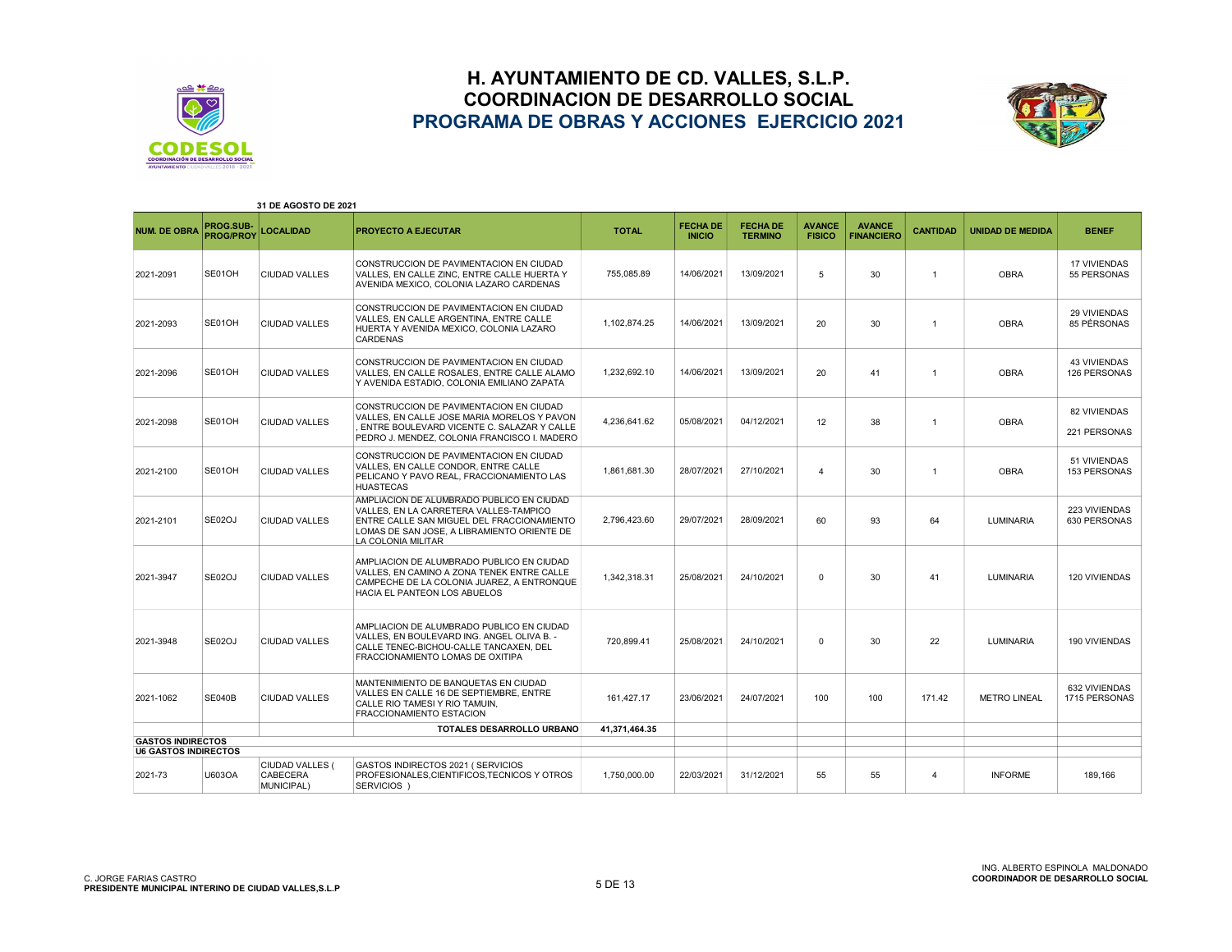



| 31 DE AGOSTO DE 2021        |                               |                                                  |                                                                                                                                                                                                        |               |                                  |                                   |                                |                                    |                 |                         |                                     |
|-----------------------------|-------------------------------|--------------------------------------------------|--------------------------------------------------------------------------------------------------------------------------------------------------------------------------------------------------------|---------------|----------------------------------|-----------------------------------|--------------------------------|------------------------------------|-----------------|-------------------------|-------------------------------------|
| <b>NUM. DE OBRA</b>         | PROG.SUB-<br><b>PROG/PROY</b> | <b>LOCALIDAD</b>                                 | <b>PROYECTO A EJECUTAR</b>                                                                                                                                                                             | <b>TOTAL</b>  | <b>FECHA DE</b><br><b>INICIO</b> | <b>FECHA DE</b><br><b>TERMINO</b> | <b>AVANCE</b><br><b>FISICO</b> | <b>AVANCE</b><br><b>FINANCIERO</b> | <b>CANTIDAD</b> | <b>UNIDAD DE MEDIDA</b> | <b>BENEF</b>                        |
| 2021-2091                   | SE01OH                        | <b>CIUDAD VALLES</b>                             | CONSTRUCCION DE PAVIMENTACION EN CIUDAD<br>VALLES, EN CALLE ZINC, ENTRE CALLE HUERTA Y<br>AVENIDA MEXICO, COLONIA LAZARO CARDENAS                                                                      | 755.085.89    | 14/06/2021                       | 13/09/2021                        | 5                              | 30                                 | $\overline{1}$  | <b>OBRA</b>             | <b>17 VIVIENDAS</b><br>55 PERSONAS  |
| 2021-2093                   | SE01OH                        | CIUDAD VALLES                                    | CONSTRUCCION DE PAVIMENTACION EN CIUDAD<br>VALLES, EN CALLE ARGENTINA, ENTRE CALLE<br>HUERTA Y AVENIDA MEXICO, COLONIA LAZARO<br><b>CARDENAS</b>                                                       | 1.102.874.25  | 14/06/2021                       | 13/09/2021                        | 20                             | 30                                 | $\overline{1}$  | <b>OBRA</b>             | <b>29 VIVIENDAS</b><br>85 PÉRSONAS  |
| 2021-2096                   | SE01OH                        | <b>CIUDAD VALLES</b>                             | CONSTRUCCION DE PAVIMENTACION EN CIUDAD<br>VALLES. EN CALLE ROSALES. ENTRE CALLE ALAMO<br>Y AVENIDA ESTADIO, COLONIA EMILIANO ZAPATA                                                                   | 1.232.692.10  | 14/06/2021                       | 13/09/2021                        | 20                             | 41                                 | $\overline{1}$  | <b>OBRA</b>             | <b>43 VIVIENDAS</b><br>126 PERSONAS |
| 2021-2098                   | SE01OH                        | <b>CIUDAD VALLES</b>                             | CONSTRUCCION DE PAVIMENTACION EN CIUDAD<br>VALLES, EN CALLE JOSE MARIA MORELOS Y PAVON<br>ENTRE BOULEVARD VICENTE C. SALAZAR Y CALLE<br>PEDRO J. MENDEZ, COLONIA FRANCISCO I. MADERO                   | 4,236,641.62  | 05/08/2021                       | 04/12/2021                        | 12                             | 38                                 | $\overline{1}$  | <b>OBRA</b>             | 82 VIVIENDAS<br>221 PERSONAS        |
| 2021-2100                   | SE01OH                        | <b>CIUDAD VALLES</b>                             | CONSTRUCCION DE PAVIMENTACION EN CIUDAD<br>VALLES. EN CALLE CONDOR. ENTRE CALLE<br>PELICANO Y PAVO REAL, FRACCIONAMIENTO LAS<br><b>HUASTECAS</b>                                                       | 1.861.681.30  | 28/07/2021                       | 27/10/2021                        | $\overline{4}$                 | 30                                 | $\overline{1}$  | <b>OBRA</b>             | 51 VIVIENDAS<br><b>153 PERSONAS</b> |
| 2021-2101                   | SE02OJ                        | <b>CIUDAD VALLES</b>                             | AMPLIACION DE ALUMBRADO PUBLICO EN CIUDAD<br>VALLES. EN LA CARRETERA VALLES-TAMPICO<br>ENTRE CALLE SAN MIGUEL DEL FRACCIONAMIENTO<br>LOMAS DE SAN JOSE. A LIBRAMIENTO ORIENTE DE<br>LA COLONIA MILITAR | 2,796,423.60  | 29/07/2021                       | 28/09/2021                        | 60                             | 93                                 | 64              | <b>LUMINARIA</b>        | 223 VIVIENDAS<br>630 PERSONAS       |
| 2021-3947                   | SE02OJ                        | <b>CIUDAD VALLES</b>                             | AMPLIACION DE ALUMBRADO PUBLICO EN CIUDAD<br>VALLES. EN CAMINO A ZONA TENEK ENTRE CALLE<br>CAMPECHE DE LA COLONIA JUAREZ, A ENTRONQUE<br>HACIA EL PANTEON LOS ABUELOS                                  | 1,342,318.31  | 25/08/2021                       | 24/10/2021                        | 0                              | 30                                 | 41              | <b>LUMINARIA</b>        | 120 VIVIENDAS                       |
| 2021-3948                   | SE02OJ                        | <b>CIUDAD VALLES</b>                             | AMPLIACION DE ALUMBRADO PUBLICO EN CIUDAD<br>VALLES. EN BOULEVARD ING. ANGEL OLIVA B. -<br>CALLE TENEC-BICHOU-CALLE TANCAXEN, DEL<br>FRACCIONAMIENTO LOMAS DE OXITIPA                                  | 720.899.41    | 25/08/2021                       | 24/10/2021                        | 0                              | 30                                 | 22              | <b>LUMINARIA</b>        | 190 VIVIENDAS                       |
| 2021-1062                   | <b>SE040B</b>                 | <b>CIUDAD VALLES</b>                             | MANTENIMIENTO DE BANQUETAS EN CIUDAD<br>VALLES EN CALLE 16 DE SEPTIEMBRE, ENTRE<br>CALLE RIO TAMESI Y RIO TAMUIN.<br><b>FRACCIONAMIENTO ESTACION</b>                                                   | 161.427.17    | 23/06/2021                       | 24/07/2021                        | 100                            | 100                                | 171.42          | <b>METRO LINEAL</b>     | 632 VIVIENDAS<br>1715 PERSONAS      |
|                             |                               |                                                  | <b>TOTALES DESARROLLO URBANO</b>                                                                                                                                                                       | 41.371.464.35 |                                  |                                   |                                |                                    |                 |                         |                                     |
| <b>GASTOS INDIRECTOS</b>    |                               |                                                  |                                                                                                                                                                                                        |               |                                  |                                   |                                |                                    |                 |                         |                                     |
| <b>U6 GASTOS INDIRECTOS</b> |                               |                                                  |                                                                                                                                                                                                        |               |                                  |                                   |                                |                                    |                 |                         |                                     |
| 2021-73                     | U603OA                        | CIUDAD VALLES (<br><b>CABECERA</b><br>MUNICIPAL) | GASTOS INDIRECTOS 2021 (SERVICIOS<br>PROFESIONALES, CIENTIFICOS, TECNICOS Y OTROS<br>SERVICIOS )                                                                                                       | 1.750.000.00  | 22/03/2021                       | 31/12/2021                        | 55                             | 55                                 | $\overline{4}$  | <b>INFORME</b>          | 189.166                             |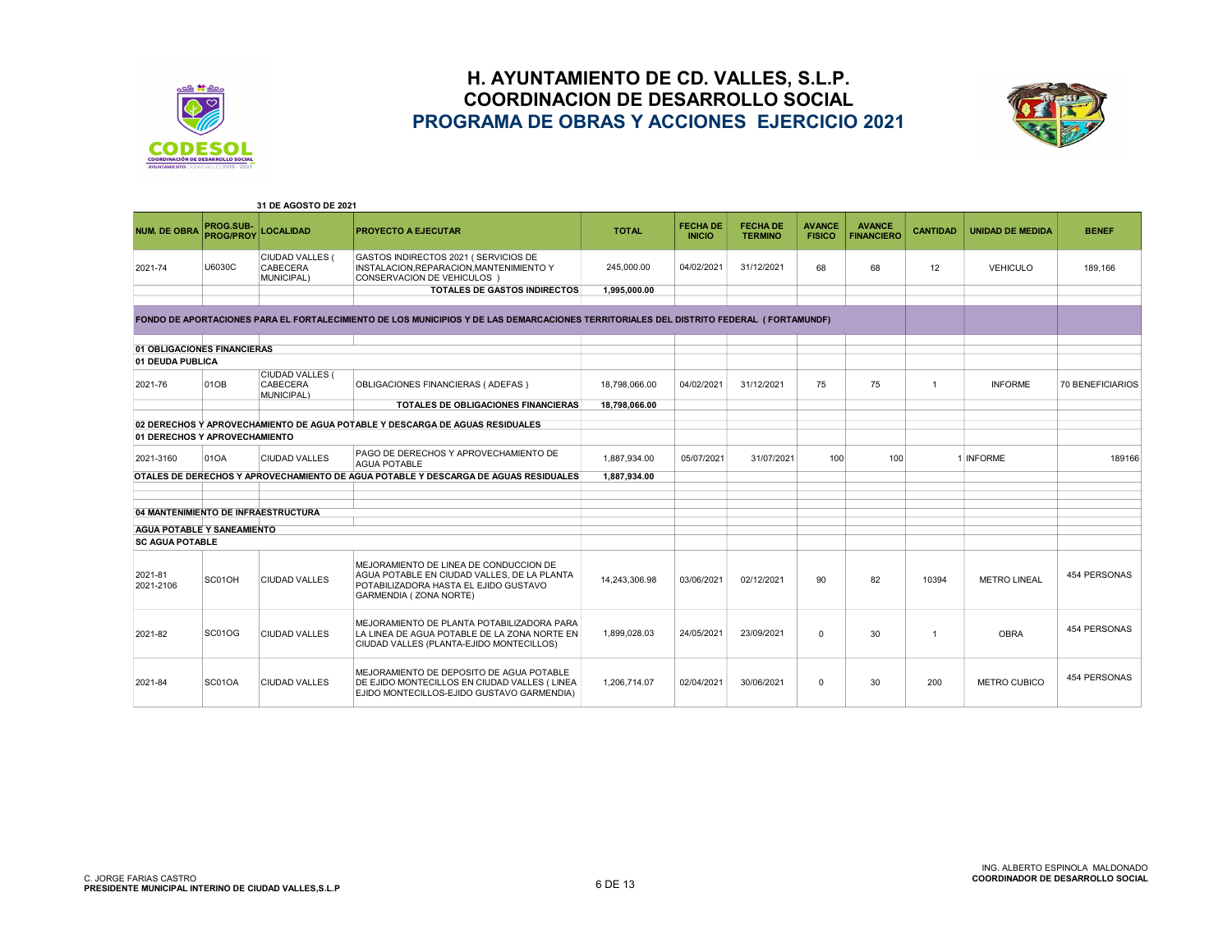



|                                     |                               | 31 DE AGOSTO DE 2021                                    |                                                                                                                                                           |               |                                  |                                   |                                |                                    |                 |                         |                     |
|-------------------------------------|-------------------------------|---------------------------------------------------------|-----------------------------------------------------------------------------------------------------------------------------------------------------------|---------------|----------------------------------|-----------------------------------|--------------------------------|------------------------------------|-----------------|-------------------------|---------------------|
| <b>NUM. DE OBRA</b>                 | PROG.SUB-<br><b>PROG/PROY</b> | <b>LOCALIDAD</b>                                        | <b>PROYECTO A EJECUTAR</b>                                                                                                                                | <b>TOTAL</b>  | <b>FECHA DE</b><br><b>INICIO</b> | <b>FECHA DE</b><br><b>TERMINO</b> | <b>AVANCE</b><br><b>FISICO</b> | <b>AVANCE</b><br><b>FINANCIERO</b> | <b>CANTIDAD</b> | <b>UNIDAD DE MEDIDA</b> | <b>BENEF</b>        |
| 2021-74                             | U6030C                        | <b>CIUDAD VALLES (</b><br><b>CABECERA</b><br>MUNICIPAL) | GASTOS INDIRECTOS 2021 ( SERVICIOS DE<br>INSTALACION.REPARACION.MANTENIMIENTO Y<br>CONSERVACION DE VEHICULOS )                                            | 245,000.00    | 04/02/2021                       | 31/12/2021                        | 68                             | 68                                 | 12              | <b>VEHICULO</b>         | 189,166             |
|                                     |                               |                                                         | <b>TOTALES DE GASTOS INDIRECTOS</b>                                                                                                                       | 1.995.000.00  |                                  |                                   |                                |                                    |                 |                         |                     |
|                                     |                               |                                                         |                                                                                                                                                           |               |                                  |                                   |                                |                                    |                 |                         |                     |
|                                     |                               |                                                         | FONDO DE APORTACIONES PARA EL FORTALECIMIENTO DE LOS MUNICIPIOS Y DE LAS DEMARCACIONES TERRITORIALES DEL DISTRITO FEDERAL (FORTAMUNDF)                    |               |                                  |                                   |                                |                                    |                 |                         |                     |
| 01 OBLIGACIONES FINANCIERAS         |                               |                                                         |                                                                                                                                                           |               |                                  |                                   |                                |                                    |                 |                         |                     |
| 01 DEUDA PUBLICA                    |                               |                                                         |                                                                                                                                                           |               |                                  |                                   |                                |                                    |                 |                         |                     |
| 2021-76                             | 01OB                          | <b>CIUDAD VALLES (</b><br>CABECERA<br>MUNICIPAL)        | OBLIGACIONES FINANCIERAS (ADEFAS)                                                                                                                         | 18.798.066.00 | 04/02/2021                       | 31/12/2021                        | 75                             | 75                                 | $\mathbf{1}$    | <b>INFORME</b>          | 70 BENEFICIARIOS    |
|                                     |                               |                                                         | <b>TOTALES DE OBLIGACIONES FINANCIERAS</b>                                                                                                                | 18.798.066.00 |                                  |                                   |                                |                                    |                 |                         |                     |
|                                     |                               |                                                         | 02 DERECHOS Y APROVECHAMIENTO DE AGUA POTABLE Y DESCARGA DE AGUAS RESIDUALES                                                                              |               |                                  |                                   |                                |                                    |                 |                         |                     |
| 01 DERECHOS Y APROVECHAMIENTO       |                               |                                                         |                                                                                                                                                           |               |                                  |                                   |                                |                                    |                 |                         |                     |
| 2021-3160                           | 01OA                          | <b>CIUDAD VALLES</b>                                    | PAGO DE DERECHOS Y APROVECHAMIENTO DE<br><b>AGUA POTABLE</b>                                                                                              | 1.887.934.00  | 05/07/2021                       | 31/07/2021                        | 100                            | 100                                |                 | 1 INFORME               | 189166              |
|                                     |                               |                                                         | OTALES DE DERECHOS Y APROVECHAMIENTO DE AGUA POTABLE Y DESCARGA DE AGUAS RESIDUALES                                                                       | 1,887,934.00  |                                  |                                   |                                |                                    |                 |                         |                     |
|                                     |                               |                                                         |                                                                                                                                                           |               |                                  |                                   |                                |                                    |                 |                         |                     |
|                                     |                               |                                                         |                                                                                                                                                           |               |                                  |                                   |                                |                                    |                 |                         |                     |
| 04 MANTENIMIENTO DE INFRAESTRUCTURA |                               |                                                         |                                                                                                                                                           |               |                                  |                                   |                                |                                    |                 |                         |                     |
| <b>AGUA POTABLE Y SANEAMIENTO</b>   |                               |                                                         |                                                                                                                                                           |               |                                  |                                   |                                |                                    |                 |                         |                     |
| <b>SC AGUA POTABLE</b>              |                               |                                                         |                                                                                                                                                           |               |                                  |                                   |                                |                                    |                 |                         |                     |
| 2021-81<br>2021-2106                | SC01OH                        | <b>CIUDAD VALLES</b>                                    | MEJORAMIENTO DE LINEA DE CONDUCCION DE<br>AGUA POTABLE EN CIUDAD VALLES, DE LA PLANTA<br>POTABILIZADORA HASTA EL EJIDO GUSTAVO<br>GARMENDIA ( ZONA NORTE) | 14,243,306.98 | 03/06/2021                       | 02/12/2021                        | 90                             | 82                                 | 10394           | <b>METRO LINEAL</b>     | <b>454 PERSONAS</b> |
| 2021-82                             | <b>SC01OG</b>                 | <b>CIUDAD VALLES</b>                                    | MEJORAMIENTO DE PLANTA POTABILIZADORA PARA<br>LA LINEA DE AGUA POTABLE DE LA ZONA NORTE EN<br>CIUDAD VALLES (PLANTA-EJIDO MONTECILLOS)                    | 1,899,028.03  | 24/05/2021                       | 23/09/2021                        | $\Omega$                       | 30                                 | $\mathbf{1}$    | <b>OBRA</b>             | 454 PERSONAS        |
| 2021-84                             | SC01OA                        | <b>CIUDAD VALLES</b>                                    | MEJORAMIENTO DE DEPOSITO DE AGUA POTABLE<br>DE EJIDO MONTECILLOS EN CIUDAD VALLES (LINEA<br>EJIDO MONTECILLOS-EJIDO GUSTAVO GARMENDIA)                    | 1.206.714.07  | 02/04/2021                       | 30/06/2021                        | $\Omega$                       | 30                                 | 200             | <b>METRO CUBICO</b>     | 454 PERSONAS        |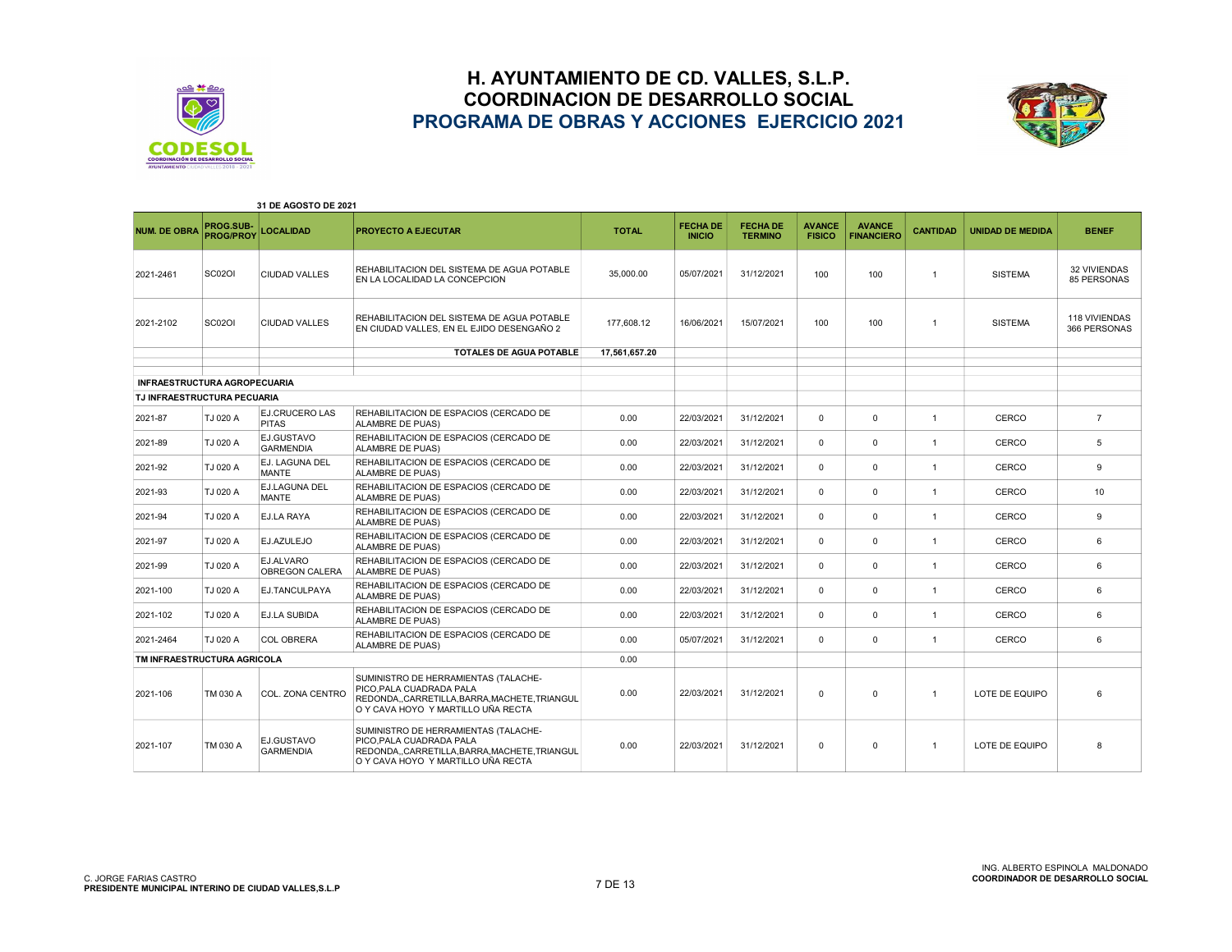



|                                     |                               | 31 DE AGOSTO DE 2021           |                                                                                                                                                     |               |                                  |                                   |                                |                                    |                 |                         |                               |
|-------------------------------------|-------------------------------|--------------------------------|-----------------------------------------------------------------------------------------------------------------------------------------------------|---------------|----------------------------------|-----------------------------------|--------------------------------|------------------------------------|-----------------|-------------------------|-------------------------------|
| <b>NUM. DE OBRA</b>                 | PROG.SUB-<br><b>PROG/PROY</b> | <b>LOCALIDAD</b>               | <b>PROYECTO A EJECUTAR</b>                                                                                                                          | <b>TOTAL</b>  | <b>FECHA DE</b><br><b>INICIO</b> | <b>FECHA DE</b><br><b>TERMINO</b> | <b>AVANCE</b><br><b>FISICO</b> | <b>AVANCE</b><br><b>FINANCIERO</b> | <b>CANTIDAD</b> | <b>UNIDAD DE MEDIDA</b> | <b>BENEF</b>                  |
| 2021-2461                           | <b>SC02OI</b>                 | <b>CIUDAD VALLES</b>           | REHABILITACION DEL SISTEMA DE AGUA POTABLE<br>EN LA LOCALIDAD LA CONCEPCION                                                                         | 35,000.00     | 05/07/2021                       | 31/12/2021                        | 100                            | 100                                | $\overline{1}$  | <b>SISTEMA</b>          | 32 VIVIENDAS<br>85 PERSONAS   |
| 2021-2102                           | SC02OI                        | CIUDAD VALLES                  | REHABILITACION DEL SISTEMA DE AGUA POTABLE<br>EN CIUDAD VALLES, EN EL EJIDO DESENGAÑO 2                                                             | 177.608.12    | 16/06/2021                       | 15/07/2021                        | 100                            | 100                                | $\overline{1}$  | <b>SISTEMA</b>          | 118 VIVIENDAS<br>366 PERSONAS |
|                                     |                               |                                | <b>TOTALES DE AGUA POTABLE</b>                                                                                                                      | 17,561,657.20 |                                  |                                   |                                |                                    |                 |                         |                               |
| <b>INFRAESTRUCTURA AGROPECUARIA</b> |                               |                                |                                                                                                                                                     |               |                                  |                                   |                                |                                    |                 |                         |                               |
| TJ INFRAESTRUCTURA PECUARIA         |                               |                                |                                                                                                                                                     |               |                                  |                                   |                                |                                    |                 |                         |                               |
| 2021-87                             | TJ 020 A                      | EJ.CRUCERO LAS<br><b>PITAS</b> | REHABILITACION DE ESPACIOS (CERCADO DE<br><b>ALAMBRE DE PUAS)</b>                                                                                   | 0.00          | 22/03/2021                       | 31/12/2021                        | $\Omega$                       | $\mathbf 0$                        | $\overline{1}$  | CERCO                   | $\overline{7}$                |
| 2021-89                             | TJ 020 A                      | EJ.GUSTAVO<br><b>GARMENDIA</b> | REHABILITACION DE ESPACIOS (CERCADO DE<br>ALAMBRE DE PUAS)                                                                                          | 0.00          | 22/03/2021                       | 31/12/2021                        | $\Omega$                       | $\Omega$                           | $\overline{1}$  | CERCO                   | 5                             |
| 2021-92                             | TJ 020 A                      | EJ. LAGUNA DEL<br><b>MANTE</b> | REHABILITACION DE ESPACIOS (CERCADO DE<br><b>ALAMBRE DE PUAS)</b>                                                                                   | 0.00          | 22/03/2021                       | 31/12/2021                        | $\Omega$                       | 0                                  | $\overline{1}$  | CERCO                   | 9                             |
| 2021-93                             | TJ 020 A                      | EJ.LAGUNA DEL<br>MANTE         | REHABILITACION DE ESPACIOS (CERCADO DE<br><b>ALAMBRE DE PUAS)</b>                                                                                   | 0.00          | 22/03/2021                       | 31/12/2021                        | $\Omega$                       | $\Omega$                           | $\overline{1}$  | CERCO                   | 10                            |
| 2021-94                             | TJ 020 A                      | EJ.LA RAYA                     | REHABILITACION DE ESPACIOS (CERCADO DE<br><b>ALAMBRE DE PUAS)</b>                                                                                   | 0.00          | 22/03/2021                       | 31/12/2021                        | $\Omega$                       | $\Omega$                           | $\overline{1}$  | CERCO                   | 9                             |
| 2021-97                             | TJ 020 A                      | EJ.AZULEJO                     | REHABILITACION DE ESPACIOS (CERCADO DE<br>ALAMBRE DE PUAS)                                                                                          | 0.00          | 22/03/2021                       | 31/12/2021                        | $\Omega$                       | 0                                  | $\overline{1}$  | CERCO                   | 6                             |
| 2021-99                             | TJ 020 A                      | EJ.ALVARO<br>OBREGON CALERA    | REHABILITACION DE ESPACIOS (CERCADO DE<br>ALAMBRE DE PUAS)                                                                                          | 0.00          | 22/03/2021                       | 31/12/2021                        | $\Omega$                       | $\Omega$                           | $\overline{1}$  | CERCO                   | 6                             |
| 2021-100                            | TJ 020 A                      | EJ.TANCULPAYA                  | REHABILITACION DE ESPACIOS (CERCADO DE<br><b>ALAMBRE DE PUAS)</b>                                                                                   | 0.00          | 22/03/2021                       | 31/12/2021                        | $\Omega$                       | $\Omega$                           | $\overline{1}$  | CERCO                   | 6                             |
| 2021-102                            | TJ 020 A                      | <b>EJ.LA SUBIDA</b>            | REHABILITACION DE ESPACIOS (CERCADO DE<br><b>ALAMBRE DE PUAS)</b>                                                                                   | 0.00          | 22/03/2021                       | 31/12/2021                        | $\Omega$                       | $\Omega$                           | $\overline{1}$  | CERCO                   | 6                             |
| 2021-2464                           | TJ 020 A                      | <b>COL OBRERA</b>              | REHABILITACION DE ESPACIOS (CERCADO DE<br><b>ALAMBRE DE PUAS)</b>                                                                                   | 0.00          | 05/07/2021                       | 31/12/2021                        | $\Omega$                       | 0                                  | $\overline{1}$  | CERCO                   | 6                             |
| TM INFRAESTRUCTURA AGRICOLA         |                               |                                |                                                                                                                                                     | 0.00          |                                  |                                   |                                |                                    |                 |                         |                               |
| 2021-106                            | TM 030 A                      | COL. ZONA CENTRO               | SUMINISTRO DE HERRAMIENTAS (TALACHE-<br>PICO.PALA CUADRADA PALA<br>REDONDACARRETILLA.BARRA.MACHETE.TRIANGUL<br>O Y CAVA HOYO Y MARTILLO UÑA RECTA   | 0.00          | 22/03/2021                       | 31/12/2021                        | $\Omega$                       | $\mathbf 0$                        | $\overline{1}$  | LOTE DE EQUIPO          | 6                             |
| 2021-107                            | TM 030 A                      | EJ.GUSTAVO<br><b>GARMENDIA</b> | SUMINISTRO DE HERRAMIENTAS (TALACHE-<br>PICO.PALA CUADRADA PALA<br>REDONDA,,CARRETILLA,BARRA,MACHETE,TRIANGUL<br>O Y CAVA HOYO Y MARTILLO UÑA RECTA | 0.00          | 22/03/2021                       | 31/12/2021                        | $\mathbf 0$                    | $\mathbf 0$                        | $\overline{1}$  | LOTE DE EQUIPO          | 8                             |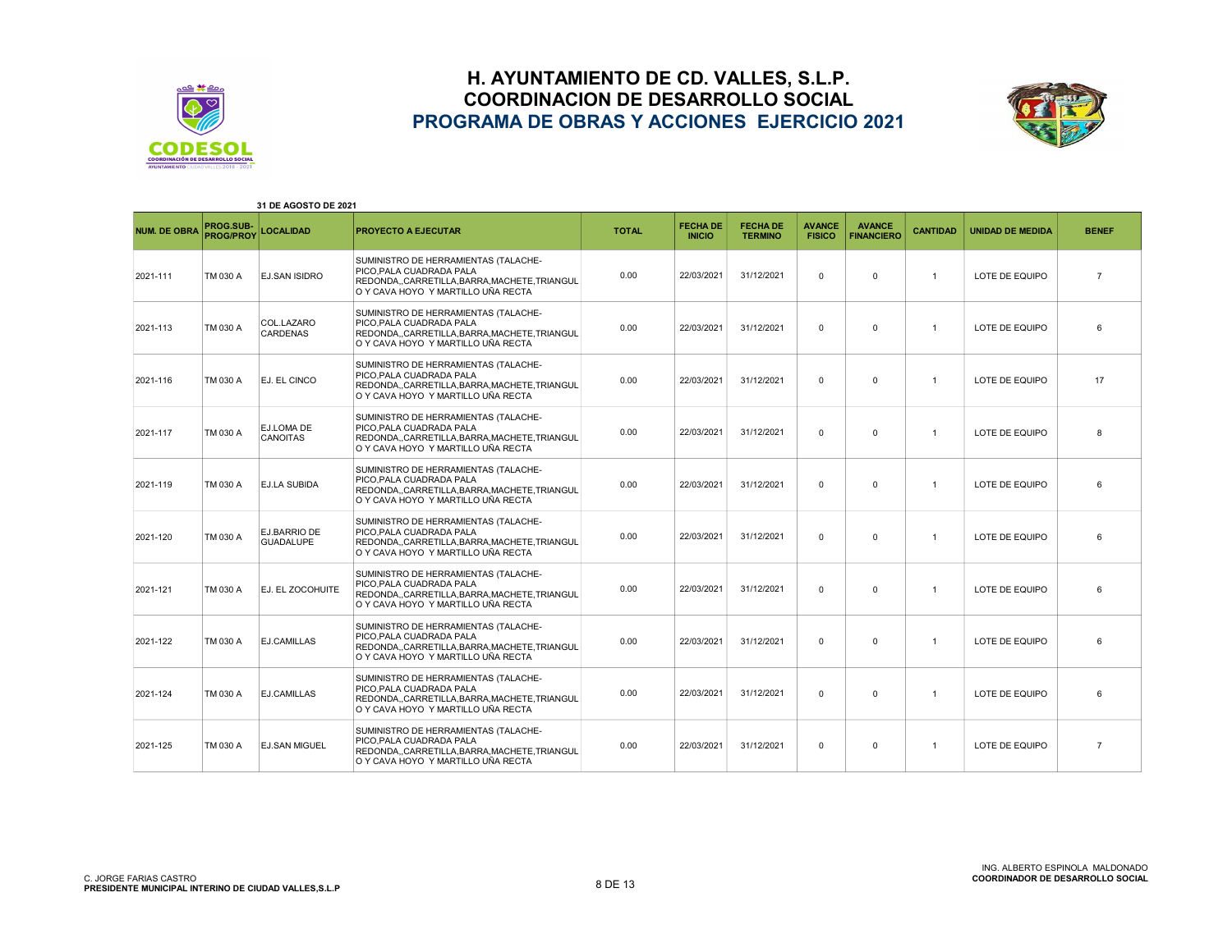



| 31 DE AGOSTO DE 2021 |                               |                                  |                                                                                                                                                      |              |                                  |                                   |                                |                                    |                 |                         |                |
|----------------------|-------------------------------|----------------------------------|------------------------------------------------------------------------------------------------------------------------------------------------------|--------------|----------------------------------|-----------------------------------|--------------------------------|------------------------------------|-----------------|-------------------------|----------------|
| <b>NUM. DE OBRA</b>  | PROG.SUB-<br><b>PROG/PROY</b> | <b>LOCALIDAD</b>                 | PROYECTO A EJECUTAR                                                                                                                                  | <b>TOTAL</b> | <b>FECHA DE</b><br><b>INICIO</b> | <b>FECHA DE</b><br><b>TERMINO</b> | <b>AVANCE</b><br><b>FISICO</b> | <b>AVANCE</b><br><b>FINANCIERO</b> | <b>CANTIDAD</b> | <b>UNIDAD DE MEDIDA</b> | <b>BENEF</b>   |
| 2021-111             | TM 030 A                      | <b>EJ.SAN ISIDRO</b>             | SUMINISTRO DE HERRAMIENTAS (TALACHE-<br>PICO.PALA CUADRADA PALA<br>REDONDA,,CARRETILLA,BARRA,MACHETE,TRIANGUL<br>O Y CAVA HOYO Y MARTILLO UÑA RECTA  | 0.00         | 22/03/2021                       | 31/12/2021                        | $\Omega$                       | $\Omega$                           | $\mathbf{1}$    | LOTE DE EQUIPO          | $\overline{7}$ |
| 2021-113             | TM 030 A                      | COL.LAZARO<br><b>CARDENAS</b>    | SUMINISTRO DE HERRAMIENTAS (TALACHE-<br>PICO.PALA CUADRADA PALA<br>REDONDA,,CARRETILLA,BARRA,MACHETE,TRIANGUL<br>O Y CAVA HOYO Y MARTILLO UÑA RECTA  | 0.00         | 22/03/2021                       | 31/12/2021                        | $\Omega$                       | $\Omega$                           | $\mathbf{1}$    | LOTE DE EQUIPO          | 6              |
| 2021-116             | TM 030 A                      | EJ. EL CINCO                     | SUMINISTRO DE HERRAMIENTAS (TALACHE-<br>PICO.PALA CUADRADA PALA<br>REDONDA,,CARRETILLA,BARRA,MACHETE,TRIANGUL<br>O Y CAVA HOYO Y MARTILLO UÑA RECTA  | 0.00         | 22/03/2021                       | 31/12/2021                        | $\mathbf 0$                    | $\Omega$                           | $\mathbf{1}$    | LOTE DE EQUIPO          | 17             |
| 2021-117             | TM 030 A                      | EJ.LOMA DE<br><b>CANOITAS</b>    | SUMINISTRO DE HERRAMIENTAS (TALACHE-<br>PICO.PALA CUADRADA PALA<br>REDONDACARRETILLA.BARRA.MACHETE.TRIANGUL<br>O Y CAVA HOYO Y MARTILLO UÑA RECTA    | 0.00         | 22/03/2021                       | 31/12/2021                        | $\Omega$                       | $\Omega$                           | $\mathbf{1}$    | LOTE DE EQUIPO          | 8              |
| 2021-119             | TM 030 A                      | <b>EJ.LA SUBIDA</b>              | SUMINISTRO DE HERRAMIENTAS (TALACHE-<br>PICO.PALA CUADRADA PALA<br>REDONDA,,CARRETILLA,BARRA,MACHETE,TRIANGUL<br>O Y CAVA HOYO Y MARTILLO UÑA RECTA  | 0.00         | 22/03/2021                       | 31/12/2021                        | $\Omega$                       | $\Omega$                           | $\mathbf{1}$    | LOTE DE EQUIPO          | 6              |
| 2021-120             | TM 030 A                      | EJ.BARRIO DE<br><b>GUADALUPE</b> | SUMINISTRO DE HERRAMIENTAS (TALACHE-<br>PICO, PALA CUADRADA PALA<br>REDONDA,,CARRETILLA,BARRA,MACHETE,TRIANGUL<br>O Y CAVA HOYO Y MARTILLO UÑA RECTA | 0.00         | 22/03/2021                       | 31/12/2021                        | $\Omega$                       | $\mathbf{0}$                       | $\mathbf{1}$    | LOTE DE EQUIPO          | 6              |
| 2021-121             | TM 030 A                      | EJ. EL ZOCOHUITE                 | SUMINISTRO DE HERRAMIENTAS (TALACHE-<br>PICO, PALA CUADRADA PALA<br>REDONDA,,CARRETILLA,BARRA,MACHETE,TRIANGUL<br>O Y CAVA HOYO Y MARTILLO UÑA RECTA | 0.00         | 22/03/2021                       | 31/12/2021                        | $\Omega$                       | $\Omega$                           | $\overline{1}$  | LOTE DE EQUIPO          | 6              |
| 2021-122             | TM 030 A                      | EJ.CAMILLAS                      | SUMINISTRO DE HERRAMIENTAS (TALACHE-<br>PICO.PALA CUADRADA PALA<br>REDONDA,,CARRETILLA,BARRA,MACHETE,TRIANGUL<br>O Y CAVA HOYO Y MARTILLO UÑA RECTA  | 0.00         | 22/03/2021                       | 31/12/2021                        | $\Omega$                       | $\Omega$                           | $\mathbf{1}$    | LOTE DE EQUIPO          | 6              |
| 2021-124             | TM 030 A                      | EJ.CAMILLAS                      | SUMINISTRO DE HERRAMIENTAS (TALACHE-<br>PICO, PALA CUADRADA PALA<br>REDONDA,,CARRETILLA,BARRA,MACHETE,TRIANGUL<br>O Y CAVA HOYO Y MARTILLO UÑA RECTA | 0.00         | 22/03/2021                       | 31/12/2021                        | $\mathbf{0}$                   | $\mathbf{0}$                       | $\mathbf{1}$    | LOTE DE EQUIPO          | 6              |
| 2021-125             | TM 030 A                      | <b>EJ.SAN MIGUEL</b>             | SUMINISTRO DE HERRAMIENTAS (TALACHE-<br>PICO.PALA CUADRADA PALA<br>REDONDA,,CARRETILLA,BARRA,MACHETE,TRIANGUL<br>O Y CAVA HOYO Y MARTILLO UÑA RECTA  | 0.00         | 22/03/2021                       | 31/12/2021                        | $\mathbf{0}$                   | $\mathbf{0}$                       | $\mathbf{1}$    | LOTE DE EQUIPO          | $\overline{7}$ |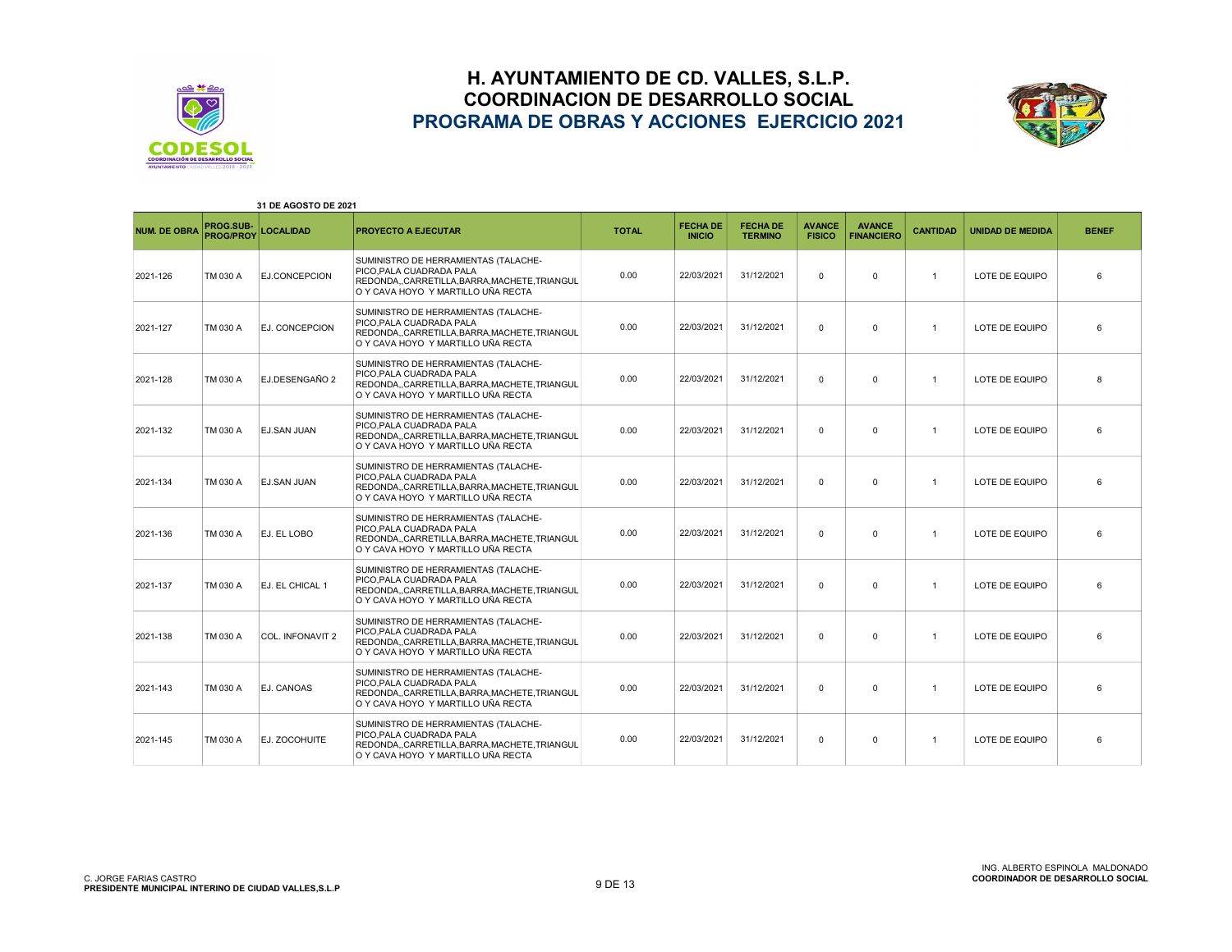



| 31 DE AGOSTO DE 2021 |                               |                       |                                                                                                                                                      |              |                                  |                                   |                                |                                    |                 |                         |              |
|----------------------|-------------------------------|-----------------------|------------------------------------------------------------------------------------------------------------------------------------------------------|--------------|----------------------------------|-----------------------------------|--------------------------------|------------------------------------|-----------------|-------------------------|--------------|
| <b>NUM. DE OBRA</b>  | PROG.SUB-<br><b>PROG/PROY</b> | <b>LOCALIDAD</b>      | <b>PROYECTO A EJECUTAR</b>                                                                                                                           | <b>TOTAL</b> | <b>FECHA DE</b><br><b>INICIO</b> | <b>FECHA DE</b><br><b>TERMINO</b> | <b>AVANCE</b><br><b>FISICO</b> | <b>AVANCE</b><br><b>FINANCIERO</b> | <b>CANTIDAD</b> | <b>UNIDAD DE MEDIDA</b> | <b>BENEF</b> |
| 2021-126             | TM 030 A                      | EJ.CONCEPCION         | SUMINISTRO DE HERRAMIENTAS (TALACHE-<br>PICO, PALA CUADRADA PALA<br>REDONDA,,CARRETILLA,BARRA,MACHETE,TRIANGUL<br>O Y CAVA HOYO Y MARTILLO UÑA RECTA | 0.00         | 22/03/2021                       | 31/12/2021                        | $\Omega$                       | $\mathbf 0$                        | $\mathbf{1}$    | LOTE DE EQUIPO          | 6            |
| 2021-127             | TM 030 A                      | <b>EJ. CONCEPCION</b> | SUMINISTRO DE HERRAMIENTAS (TALACHE-<br>PICO, PALA CUADRADA PALA<br>REDONDA,,CARRETILLA,BARRA,MACHETE,TRIANGUL<br>O Y CAVA HOYO Y MARTILLO UÑA RECTA | 0.00         | 22/03/2021                       | 31/12/2021                        | $\Omega$                       | $\Omega$                           | $\mathbf{1}$    | LOTE DE EQUIPO          | 6            |
| 2021-128             | TM 030 A                      | EJ DESENGAÑO 2        | SUMINISTRO DE HERRAMIENTAS (TALACHE-<br>PICO.PALA CUADRADA PALA<br>REDONDA,,CARRETILLA,BARRA,MACHETE,TRIANGUL<br>O Y CAVA HOYO Y MARTILLO UÑA RECTA  | 0.00         | 22/03/2021                       | 31/12/2021                        | $\Omega$                       | $\Omega$                           | $\overline{1}$  | LOTE DE EQUIPO          | 8            |
| 2021-132             | TM 030 A                      | <b>EJ.SAN JUAN</b>    | SUMINISTRO DE HERRAMIENTAS (TALACHE-<br>PICO.PALA CUADRADA PALA<br>REDONDA,,CARRETILLA,BARRA,MACHETE,TRIANGUL<br>O Y CAVA HOYO Y MARTILLO UÑA RECTA  | 0.00         | 22/03/2021                       | 31/12/2021                        | $\mathbf{0}$                   | $\mathbf{0}$                       | $\mathbf{1}$    | LOTE DE EQUIPO          | 6            |
| 2021-134             | TM 030 A                      | <b>EJ.SAN JUAN</b>    | SUMINISTRO DE HERRAMIENTAS (TALACHE-<br>PICO.PALA CUADRADA PALA<br>REDONDA,,CARRETILLA,BARRA,MACHETE,TRIANGUL<br>O Y CAVA HOYO Y MARTILLO UÑA RECTA  | 0.00         | 22/03/2021                       | 31/12/2021                        | $\Omega$                       | $^{\circ}$                         | $\mathbf{1}$    | LOTE DE EQUIPO          | 6            |
| 2021-136             | TM 030 A                      | EJ. EL LOBO           | SUMINISTRO DE HERRAMIENTAS (TALACHE-<br>PICO.PALA CUADRADA PALA<br>REDONDA,,CARRETILLA,BARRA,MACHETE,TRIANGUL<br>O Y CAVA HOYO Y MARTILLO UÑA RECTA  | 0.00         | 22/03/2021                       | 31/12/2021                        | $\Omega$                       | $\Omega$                           | $\overline{1}$  | LOTE DE EQUIPO          | 6            |
| 2021-137             | TM 030 A                      | EJ. EL CHICAL 1       | SUMINISTRO DE HERRAMIENTAS (TALACHE-<br>PICO, PALA CUADRADA PALA<br>REDONDA,,CARRETILLA,BARRA,MACHETE,TRIANGUL<br>O Y CAVA HOYO Y MARTILLO UÑA RECTA | 0.00         | 22/03/2021                       | 31/12/2021                        | $\Omega$                       | $\Omega$                           | $\mathbf{1}$    | LOTE DE EQUIPO          | 6            |
| 2021-138             | TM 030 A                      | COL. INFONAVIT 2      | SUMINISTRO DE HERRAMIENTAS (TALACHE-<br>PICO, PALA CUADRADA PALA<br>REDONDA,,CARRETILLA,BARRA,MACHETE,TRIANGUL<br>O Y CAVA HOYO Y MARTILLO UÑA RECTA | 0.00         | 22/03/2021                       | 31/12/2021                        | $\mathbf{0}$                   | $\mathbf 0$                        | $\mathbf{1}$    | LOTE DE EQUIPO          | 6            |
| 2021-143             | TM 030 A                      | EJ. CANOAS            | SUMINISTRO DE HERRAMIENTAS (TALACHE-<br>PICO.PALA CUADRADA PALA<br>REDONDA,,CARRETILLA,BARRA,MACHETE,TRIANGUL<br>O Y CAVA HOYO Y MARTILLO UÑA RECTA  | 0.00         | 22/03/2021                       | 31/12/2021                        | $\Omega$                       | $\Omega$                           | $\overline{1}$  | LOTE DE EQUIPO          | 6            |
| 2021-145             | TM 030 A                      | EJ. ZOCOHUITE         | SUMINISTRO DE HERRAMIENTAS (TALACHE-<br>PICO, PALA CUADRADA PALA<br>REDONDA,,CARRETILLA,BARRA,MACHETE,TRIANGUL<br>O Y CAVA HOYO Y MARTILLO UÑA RECTA | 0.00         | 22/03/2021                       | 31/12/2021                        | $\Omega$                       | $\Omega$                           | $\overline{1}$  | LOTE DE EQUIPO          | 6            |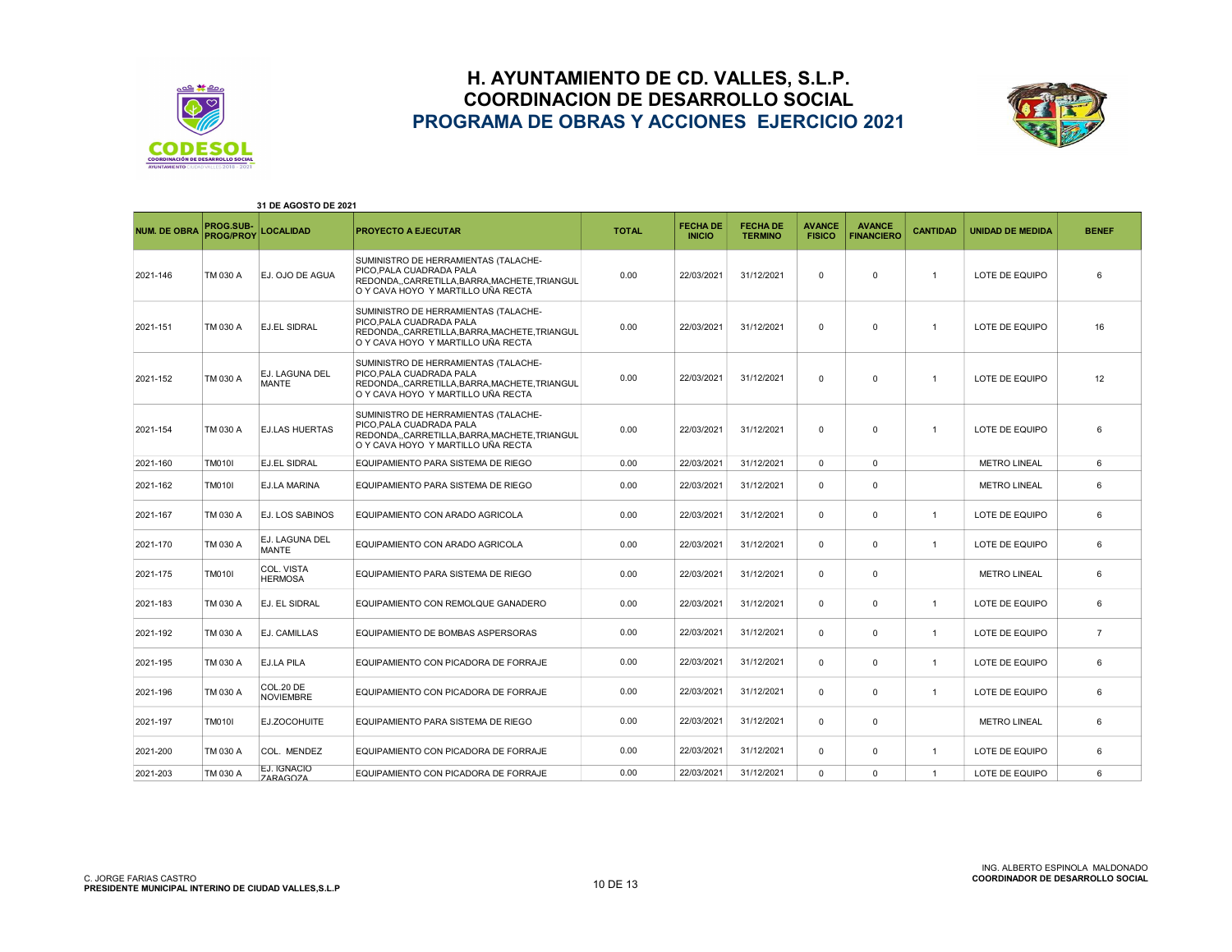



| 31 DE AGOSTO DE 2021 |                               |                                |                                                                                                                                                      |              |                                  |                                   |                                |                                    |                 |                         |                |
|----------------------|-------------------------------|--------------------------------|------------------------------------------------------------------------------------------------------------------------------------------------------|--------------|----------------------------------|-----------------------------------|--------------------------------|------------------------------------|-----------------|-------------------------|----------------|
| <b>NUM. DE OBRA</b>  | PROG.SUB-<br><b>PROG/PROY</b> | <b>LOCALIDAD</b>               | <b>PROYECTO A EJECUTAR</b>                                                                                                                           | <b>TOTAL</b> | <b>FECHA DE</b><br><b>INICIO</b> | <b>FECHA DE</b><br><b>TERMINO</b> | <b>AVANCE</b><br><b>FISICO</b> | <b>AVANCE</b><br><b>FINANCIERO</b> | <b>CANTIDAD</b> | <b>UNIDAD DE MEDIDA</b> | <b>BENEF</b>   |
| 2021-146             | TM 030 A                      | EJ. OJO DE AGUA                | SUMINISTRO DE HERRAMIENTAS (TALACHE-<br>PICO, PALA CUADRADA PALA<br>REDONDA,,CARRETILLA,BARRA,MACHETE,TRIANGUL<br>O Y CAVA HOYO Y MARTILLO UÑA RECTA | 0.00         | 22/03/2021                       | 31/12/2021                        | $\Omega$                       | $\Omega$                           | $\overline{1}$  | LOTE DE EQUIPO          | 6              |
| 2021-151             | TM 030 A                      | <b>EJ.EL SIDRAL</b>            | SUMINISTRO DE HERRAMIENTAS (TALACHE-<br>PICO.PALA CUADRADA PALA<br>REDONDA,,CARRETILLA,BARRA,MACHETE,TRIANGUL<br>O Y CAVA HOYO Y MARTILLO UÑA RECTA  | 0.00         | 22/03/2021                       | 31/12/2021                        | 0                              | $\mathbf 0$                        | $\overline{1}$  | LOTE DE EQUIPO          | 16             |
| 2021-152             | TM 030 A                      | EJ. LAGUNA DEL<br><b>MANTE</b> | SUMINISTRO DE HERRAMIENTAS (TALACHE-<br>PICO.PALA CUADRADA PALA<br>REDONDA,,CARRETILLA,BARRA,MACHETE,TRIANGUL<br>O Y CAVA HOYO Y MARTILLO UÑA RECTA  | 0.00         | 22/03/2021                       | 31/12/2021                        | 0                              | $\mathbf 0$                        | $\overline{1}$  | LOTE DE EQUIPO          | 12             |
| 2021-154             | TM 030 A                      | <b>EJ.LAS HUERTAS</b>          | SUMINISTRO DE HERRAMIENTAS (TALACHE-<br>PICO.PALA CUADRADA PALA<br>REDONDA,,CARRETILLA,BARRA,MACHETE,TRIANGUL<br>O Y CAVA HOYO Y MARTILLO UÑA RECTA  | 0.00         | 22/03/2021                       | 31/12/2021                        | 0                              | $\mathbf 0$                        | $\overline{1}$  | LOTE DE EQUIPO          | 6              |
| 2021-160             | <b>TM010I</b>                 | <b>EJ.EL SIDRAL</b>            | EQUIPAMIENTO PARA SISTEMA DE RIEGO                                                                                                                   | 0.00         | 22/03/2021                       | 31/12/2021                        | $\Omega$                       | $\mathbf 0$                        |                 | <b>METRO LINEAL</b>     | 6              |
| 2021-162             | <b>TM010I</b>                 | <b>EJ.LA MARINA</b>            | EQUIPAMIENTO PARA SISTEMA DE RIEGO                                                                                                                   | 0.00         | 22/03/2021                       | 31/12/2021                        | 0                              | 0                                  |                 | <b>METRO LINEAL</b>     | 6              |
| 2021-167             | TM 030 A                      | <b>EJ. LOS SABINOS</b>         | EQUIPAMIENTO CON ARADO AGRICOLA                                                                                                                      | 0.00         | 22/03/2021                       | 31/12/2021                        | 0                              | $\mathbf 0$                        | $\overline{1}$  | LOTE DE EQUIPO          | 6              |
| 2021-170             | TM 030 A                      | EJ. LAGUNA DEL<br><b>MANTE</b> | EQUIPAMIENTO CON ARADO AGRICOLA                                                                                                                      | 0.00         | 22/03/2021                       | 31/12/2021                        | $\Omega$                       | $\Omega$                           | $\overline{1}$  | LOTE DE EQUIPO          | 6              |
| 2021-175             | <b>TM010I</b>                 | COL. VISTA<br><b>HERMOSA</b>   | EQUIPAMIENTO PARA SISTEMA DE RIEGO                                                                                                                   | 0.00         | 22/03/2021                       | 31/12/2021                        | 0                              | 0                                  |                 | <b>METRO LINEAL</b>     | 6              |
| 2021-183             | TM 030 A                      | <b>EJ. EL SIDRAL</b>           | EQUIPAMIENTO CON REMOLQUE GANADERO                                                                                                                   | 0.00         | 22/03/2021                       | 31/12/2021                        | $\Omega$                       | $\mathbf 0$                        | $\overline{1}$  | LOTE DE EQUIPO          | 6              |
| 2021-192             | TM 030 A                      | EJ. CAMILLAS                   | EQUIPAMIENTO DE BOMBAS ASPERSORAS                                                                                                                    | 0.00         | 22/03/2021                       | 31/12/2021                        | 0                              | $\mathbf 0$                        | $\overline{1}$  | LOTE DE EQUIPO          | $\overline{7}$ |
| 2021-195             | TM 030 A                      | <b>EJ.LA PILA</b>              | EQUIPAMIENTO CON PICADORA DE FORRAJE                                                                                                                 | 0.00         | 22/03/2021                       | 31/12/2021                        | 0                              | $\mathbf 0$                        | $\overline{1}$  | LOTE DE EQUIPO          | 6              |
| 2021-196             | TM 030 A                      | COL.20 DE<br><b>NOVIEMBRE</b>  | EQUIPAMIENTO CON PICADORA DE FORRAJE                                                                                                                 | 0.00         | 22/03/2021                       | 31/12/2021                        | $\Omega$                       | $\mathbf 0$                        | $\mathbf{1}$    | LOTE DE EQUIPO          | 6              |
| 2021-197             | <b>TM010I</b>                 | EJ.ZOCOHUITE                   | EQUIPAMIENTO PARA SISTEMA DE RIEGO                                                                                                                   | 0.00         | 22/03/2021                       | 31/12/2021                        | 0                              | $\mathbf 0$                        |                 | <b>METRO LINEAL</b>     | 6              |
| 2021-200             | TM 030 A                      | COL. MENDEZ                    | EQUIPAMIENTO CON PICADORA DE FORRAJE                                                                                                                 | 0.00         | 22/03/2021                       | 31/12/2021                        | $\mathbf 0$                    | $\mathbf 0$                        | $\mathbf{1}$    | LOTE DE EQUIPO          | 6              |
| 2021-203             | TM 030 A                      | EJ. IGNACIO<br><b>7ARAGOZA</b> | EQUIPAMIENTO CON PICADORA DE FORRAJE                                                                                                                 | 0.00         | 22/03/2021                       | 31/12/2021                        | $\Omega$                       | $\Omega$                           | $\overline{1}$  | LOTE DE EQUIPO          | 6              |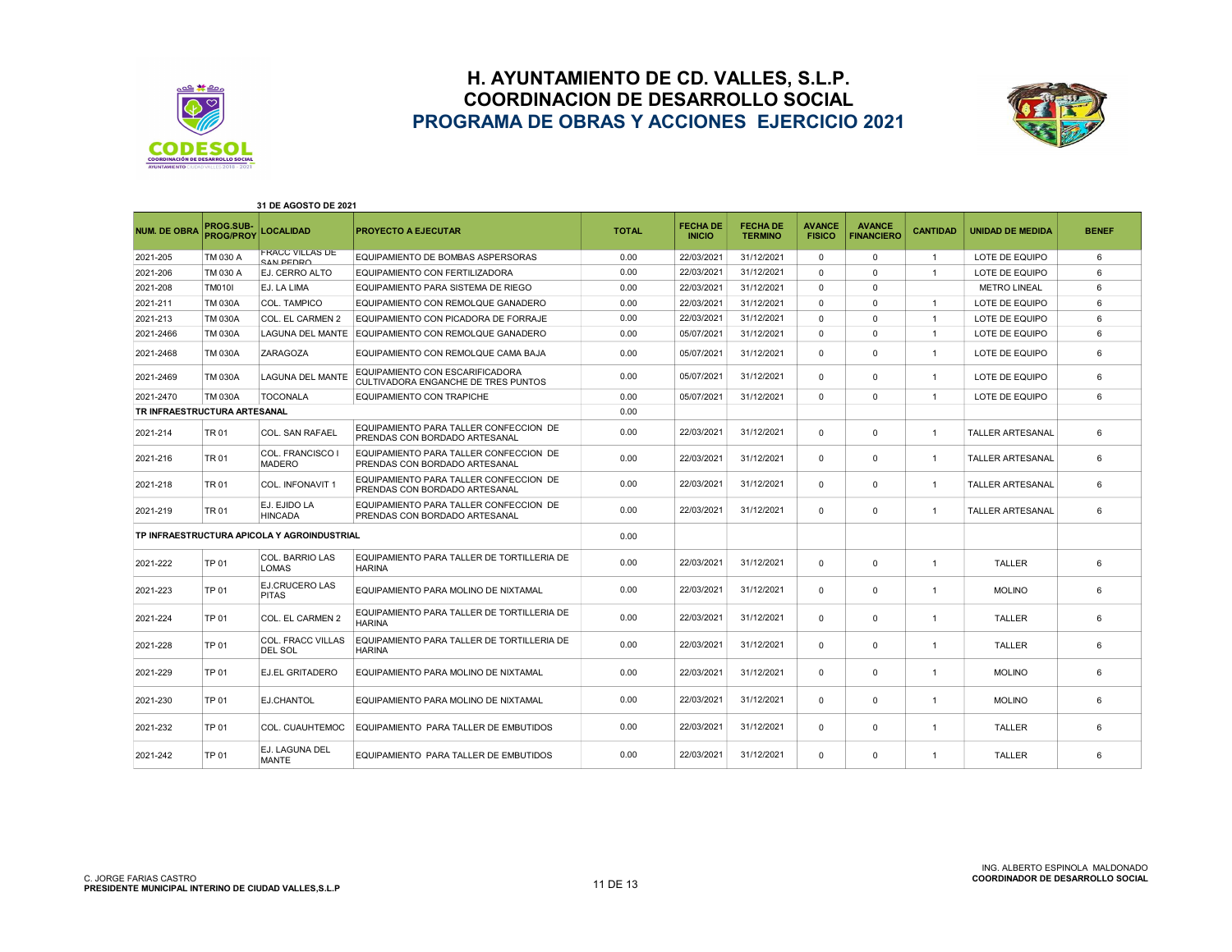



| 31 DE AGOSTO DE 2021         |                               |                                             |                                                                         |              |                                  |                                   |                                |                                    |                 |                         |              |
|------------------------------|-------------------------------|---------------------------------------------|-------------------------------------------------------------------------|--------------|----------------------------------|-----------------------------------|--------------------------------|------------------------------------|-----------------|-------------------------|--------------|
| <b>NUM. DE OBRA</b>          | PROG.SUB-<br><b>PROG/PROY</b> | <b>LOCALIDAD</b>                            | <b>PROYECTO A EJECUTAR</b>                                              | <b>TOTAL</b> | <b>FECHA DE</b><br><b>INICIO</b> | <b>FECHA DE</b><br><b>TERMINO</b> | <b>AVANCE</b><br><b>FISICO</b> | <b>AVANCE</b><br><b>FINANCIERO</b> | <b>CANTIDAD</b> | <b>UNIDAD DE MEDIDA</b> | <b>BENEF</b> |
| 2021-205                     | TM 030 A                      | <b>FRACC VILLAS DE</b><br>SAN PEDRO         | EQUIPAMIENTO DE BOMBAS ASPERSORAS                                       | 0.00         | 22/03/2021                       | 31/12/2021                        | $\Omega$                       | $\Omega$                           | $\overline{1}$  | LOTE DE EQUIPO          | 6            |
| 2021-206                     | TM 030 A                      | EJ. CERRO ALTO                              | EQUIPAMIENTO CON FERTILIZADORA                                          | 0.00         | 22/03/2021                       | 31/12/2021                        | $\Omega$                       | $\Omega$                           | $\overline{1}$  | LOTE DE EQUIPO          | 6            |
| 2021-208                     | <b>TM010I</b>                 | EJ. LA LIMA                                 | EQUIPAMIENTO PARA SISTEMA DE RIEGO                                      | 0.00         | 22/03/2021                       | 31/12/2021                        | $\Omega$                       | $\mathbf 0$                        |                 | <b>METRO LINEAL</b>     | 6            |
| 2021-211                     | <b>TM 030A</b>                | <b>COL. TAMPICO</b>                         | EQUIPAMIENTO CON REMOLQUE GANADERO                                      | 0.00         | 22/03/2021                       | 31/12/2021                        | $\Omega$                       | $\Omega$                           | $\overline{1}$  | LOTE DE EQUIPO          | 6            |
| 2021-213                     | <b>TM 030A</b>                | COL. EL CARMEN 2                            | EQUIPAMIENTO CON PICADORA DE FORRAJE                                    | 0.00         | 22/03/2021                       | 31/12/2021                        | $\Omega$                       | $\Omega$                           | $\overline{1}$  | LOTE DE EQUIPO          | 6            |
| 2021-2466                    | <b>TM 030A</b>                | LAGUNA DEL MANTE                            | EQUIPAMIENTO CON REMOLQUE GANADERO                                      | 0.00         | 05/07/2021                       | 31/12/2021                        | $\Omega$                       | $\Omega$                           | $\overline{1}$  | LOTE DE EQUIPO          | 6            |
| 2021-2468                    | TM 030A                       | <b>ZARAGOZA</b>                             | EQUIPAMIENTO CON REMOLQUE CAMA BAJA                                     | 0.00         | 05/07/2021                       | 31/12/2021                        | $\mathbf 0$                    | $\mathbf 0$                        | $\overline{1}$  | LOTE DE EQUIPO          | 6            |
| 2021-2469                    | <b>TM 030A</b>                | <b>LAGUNA DEL MANTE</b>                     | EQUIPAMIENTO CON ESCARIFICADORA<br>CULTIVADORA ENGANCHE DE TRES PUNTOS  | 0.00         | 05/07/2021                       | 31/12/2021                        | $\mathbf 0$                    | $\mathbf 0$                        | $\overline{1}$  | LOTE DE EQUIPO          | 6            |
| 2021-2470                    | <b>TM 030A</b>                | <b>TOCONALA</b>                             | EQUIPAMIENTO CON TRAPICHE                                               | 0.00         | 05/07/2021                       | 31/12/2021                        | $\mathbf 0$                    | $\mathbf 0$                        | $\overline{1}$  | LOTE DE EQUIPO          | 6            |
| TR INFRAESTRUCTURA ARTESANAL |                               |                                             |                                                                         | 0.00         |                                  |                                   |                                |                                    |                 |                         |              |
| 2021-214                     | <b>TR01</b>                   | <b>COL. SAN RAFAEL</b>                      | EQUIPAMIENTO PARA TALLER CONFECCION DE<br>PRENDAS CON BORDADO ARTESANAL | 0.00         | 22/03/2021                       | 31/12/2021                        | $\mathbf 0$                    | $\mathbf 0$                        | $\overline{1}$  | <b>TALLER ARTESANAL</b> | 6            |
| 2021-216                     | TR 01                         | COL. FRANCISCO I<br><b>MADERO</b>           | EQUIPAMIENTO PARA TALLER CONFECCION DE<br>PRENDAS CON BORDADO ARTESANAL | 0.00         | 22/03/2021                       | 31/12/2021                        | $\mathbf 0$                    | $\mathbf 0$                        | $\overline{1}$  | <b>TALLER ARTESANAL</b> | 6            |
| 2021-218                     | <b>TR01</b>                   | <b>COL. INFONAVIT 1</b>                     | EQUIPAMIENTO PARA TALLER CONFECCION DE<br>PRENDAS CON BORDADO ARTESANAL | 0.00         | 22/03/2021                       | 31/12/2021                        | $\mathbf 0$                    | $\mathbf{0}$                       | $\mathbf{1}$    | <b>TALLER ARTESANAL</b> | 6            |
| 2021-219                     | <b>TR01</b>                   | EJ. EJIDO LA<br><b>HINCADA</b>              | EQUIPAMIENTO PARA TALLER CONFECCION DE<br>PRENDAS CON BORDADO ARTESANAL | 0.00         | 22/03/2021                       | 31/12/2021                        | $\mathbf 0$                    | $\mathbf{0}$                       | $\mathbf{1}$    | <b>TALLER ARTESANAL</b> | 6            |
|                              |                               | TP INFRAESTRUCTURA APICOLA Y AGROINDUSTRIAL |                                                                         | 0.00         |                                  |                                   |                                |                                    |                 |                         |              |
| 2021-222                     | TP 01                         | <b>COL. BARRIO LAS</b><br><b>LOMAS</b>      | EQUIPAMIENTO PARA TALLER DE TORTILLERIA DE<br><b>HARINA</b>             | 0.00         | 22/03/2021                       | 31/12/2021                        | $\mathbf 0$                    | $^{\circ}$                         | $\mathbf{1}$    | <b>TALLER</b>           | 6            |
| 2021-223                     | TP 01                         | <b>EJ.CRUCERO LAS</b><br><b>PITAS</b>       | EQUIPAMIENTO PARA MOLINO DE NIXTAMAL                                    | 0.00         | 22/03/2021                       | 31/12/2021                        | $\Omega$                       | $\Omega$                           | -1              | <b>MOLINO</b>           | 6            |
| 2021-224                     | TP 01                         | COL. EL CARMEN 2                            | EQUIPAMIENTO PARA TALLER DE TORTILLERIA DE<br><b>HARINA</b>             | 0.00         | 22/03/2021                       | 31/12/2021                        | $\mathbf 0$                    | $\mathbf 0$                        | $\mathbf{1}$    | <b>TALLER</b>           | 6            |
| 2021-228                     | TP 01                         | <b>COL. FRACC VILLAS</b><br><b>DEL SOL</b>  | EQUIPAMIENTO PARA TALLER DE TORTILLERIA DE<br><b>HARINA</b>             | 0.00         | 22/03/2021                       | 31/12/2021                        | $\mathbf 0$                    | $\mathbf 0$                        | $\overline{1}$  | <b>TALLER</b>           | 6            |
| 2021-229                     | TP 01                         | <b>EJ.EL GRITADERO</b>                      | EQUIPAMIENTO PARA MOLINO DE NIXTAMAL                                    | 0.00         | 22/03/2021                       | 31/12/2021                        | $\Omega$                       | $\mathbf 0$                        | $\mathbf{1}$    | <b>MOLINO</b>           | 6            |
| 2021-230                     | TP 01                         | EJ.CHANTOL                                  | EQUIPAMIENTO PARA MOLINO DE NIXTAMAL                                    | 0.00         | 22/03/2021                       | 31/12/2021                        | $\mathbf 0$                    | $\mathbf 0$                        | $\mathbf{1}$    | <b>MOLINO</b>           | 6            |
| 2021-232                     | TP 01                         | COL. CUAUHTEMOC                             | EQUIPAMIENTO PARA TALLER DE EMBUTIDOS                                   | 0.00         | 22/03/2021                       | 31/12/2021                        | $\Omega$                       | $\mathbf 0$                        | $\overline{1}$  | <b>TALLER</b>           | 6            |
| 2021-242                     | TP 01                         | EJ. LAGUNA DEL<br>MANTE                     | EQUIPAMIENTO PARA TALLER DE EMBUTIDOS                                   | 0.00         | 22/03/2021                       | 31/12/2021                        | $\Omega$                       | $\Omega$                           | -1              | <b>TALLER</b>           | 6            |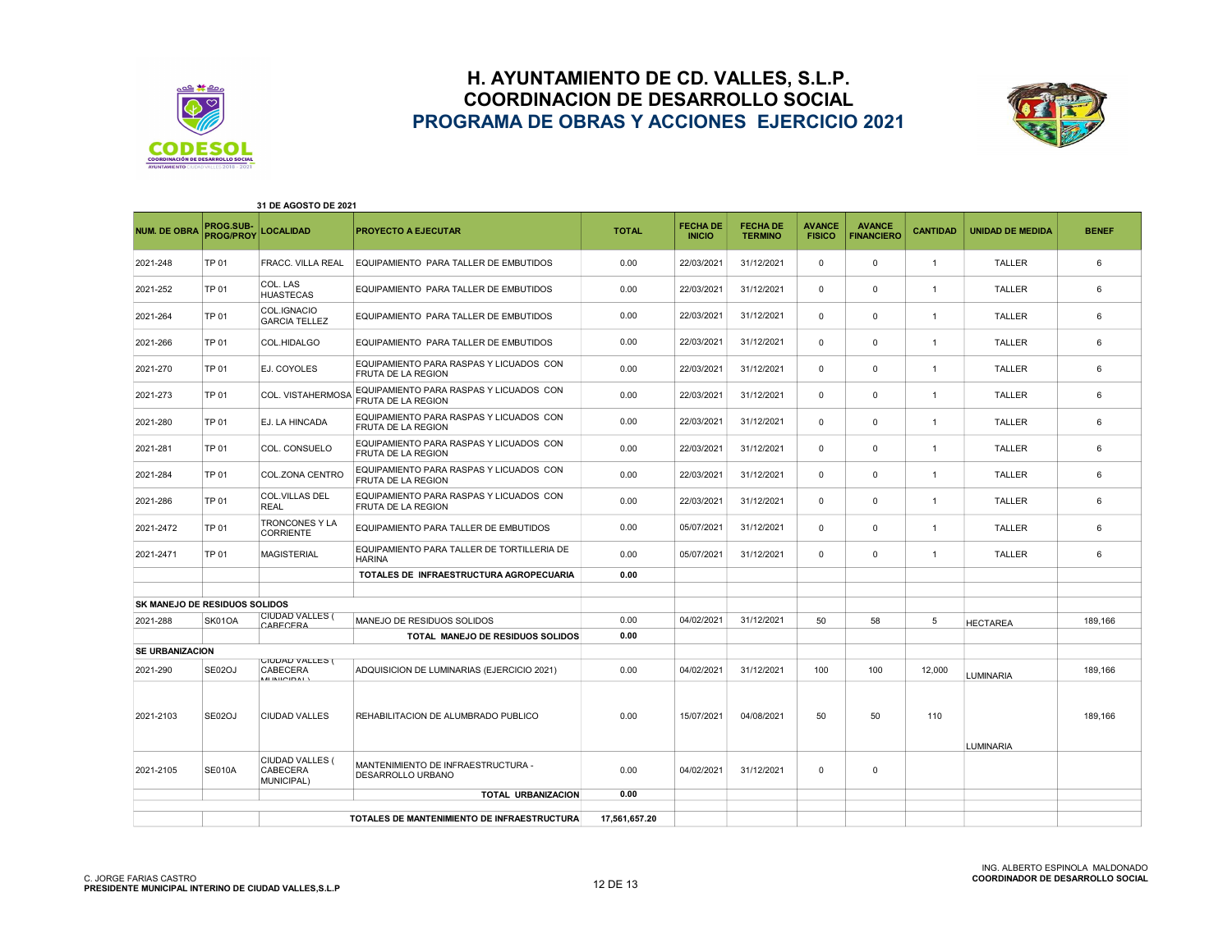



| 31 DE AGOSTO DE 2021                 |                               |                                                               |                                                                      |               |                                  |                                   |                                |                                    |                 |                         |              |
|--------------------------------------|-------------------------------|---------------------------------------------------------------|----------------------------------------------------------------------|---------------|----------------------------------|-----------------------------------|--------------------------------|------------------------------------|-----------------|-------------------------|--------------|
| <b>NUM. DE OBRA</b>                  | PROG.SUB-<br><b>PROG/PROY</b> | <b>LOCALIDAD</b>                                              | <b>PROYECTO A EJECUTAR</b>                                           | <b>TOTAL</b>  | <b>FECHA DE</b><br><b>INICIO</b> | <b>FECHA DE</b><br><b>TERMINO</b> | <b>AVANCE</b><br><b>FISICO</b> | <b>AVANCE</b><br><b>FINANCIERO</b> | <b>CANTIDAD</b> | <b>UNIDAD DE MEDIDA</b> | <b>BENEF</b> |
| 2021-248                             | TP 01                         | FRACC. VILLA REAL                                             | EQUIPAMIENTO PARA TALLER DE EMBUTIDOS                                | 0.00          | 22/03/2021                       | 31/12/2021                        | 0                              | 0                                  | $\overline{1}$  | <b>TALLER</b>           | 6            |
| 2021-252                             | <b>TP 01</b>                  | COL. LAS<br><b>HUASTECAS</b>                                  | EQUIPAMIENTO PARA TALLER DE EMBUTIDOS                                | 0.00          | 22/03/2021                       | 31/12/2021                        | $\Omega$                       | 0                                  | $\overline{1}$  | <b>TALLER</b>           | 6            |
| 2021-264                             | TP 01                         | COL.IGNACIO<br><b>GARCIA TELLEZ</b>                           | EQUIPAMIENTO PARA TALLER DE EMBUTIDOS                                | 0.00          | 22/03/2021                       | 31/12/2021                        | 0                              | $\mathbf 0$                        | $\overline{1}$  | <b>TALLER</b>           | 6            |
| 2021-266                             | <b>TP 01</b>                  | COL.HIDALGO                                                   | EQUIPAMIENTO PARA TALLER DE EMBUTIDOS                                | 0.00          | 22/03/2021                       | 31/12/2021                        | 0                              | $\mathbf 0$                        | $\overline{1}$  | <b>TALLER</b>           | 6            |
| 2021-270                             | TP 01                         | EJ. COYOLES                                                   | EQUIPAMIENTO PARA RASPAS Y LICUADOS CON<br><b>FRUTA DE LA REGION</b> | 0.00          | 22/03/2021                       | 31/12/2021                        | 0                              | $\mathbf 0$                        | $\overline{1}$  | <b>TALLER</b>           | 6            |
| 2021-273                             | <b>TP 01</b>                  | COL. VISTAHERMOSA                                             | EQUIPAMIENTO PARA RASPAS Y LICUADOS CON<br><b>FRUTA DE LA REGION</b> | 0.00          | 22/03/2021                       | 31/12/2021                        | 0                              | 0                                  | $\overline{1}$  | <b>TALLER</b>           | 6            |
| 2021-280                             | <b>TP 01</b>                  | EJ. LA HINCADA                                                | EQUIPAMIENTO PARA RASPAS Y LICUADOS CON<br>FRUTA DE LA REGION        | 0.00          | 22/03/2021                       | 31/12/2021                        | 0                              | $\mathbf 0$                        | $\overline{1}$  | <b>TALLER</b>           | 6            |
| 2021-281                             | <b>TP 01</b>                  | COL. CONSUELO                                                 | EQUIPAMIENTO PARA RASPAS Y LICUADOS CON<br><b>FRUTA DE LA REGION</b> | 0.00          | 22/03/2021                       | 31/12/2021                        | $\Omega$                       | $\mathbf 0$                        | $\overline{1}$  | <b>TALLER</b>           | 6            |
| 2021-284                             | TP 01                         | COL.ZONA CENTRO                                               | EQUIPAMIENTO PARA RASPAS Y LICUADOS CON<br>FRUTA DE LA REGION        | 0.00          | 22/03/2021                       | 31/12/2021                        | $\Omega$                       | $\mathbf 0$                        | $\overline{1}$  | <b>TALLER</b>           | 6            |
| 2021-286                             | TP 01                         | <b>COL.VILLAS DEL</b><br>REAL                                 | EQUIPAMIENTO PARA RASPAS Y LICUADOS CON<br><b>FRUTA DE LA REGION</b> | 0.00          | 22/03/2021                       | 31/12/2021                        | 0                              | 0                                  | $\overline{1}$  | <b>TALLER</b>           | 6            |
| 2021-2472                            | <b>TP 01</b>                  | TRONCONES Y LA<br><b>CORRIENTE</b>                            | EQUIPAMIENTO PARA TALLER DE EMBUTIDOS                                | 0.00          | 05/07/2021                       | 31/12/2021                        | 0                              | $\mathbf 0$                        | $\overline{1}$  | <b>TALLER</b>           | 6            |
| 2021-2471                            | <b>TP 01</b>                  | <b>MAGISTERIAL</b>                                            | EQUIPAMIENTO PARA TALLER DE TORTILLERIA DE<br><b>HARINA</b>          | 0.00          | 05/07/2021                       | 31/12/2021                        | 0                              | $\mathbf 0$                        | $\overline{1}$  | <b>TALLER</b>           | 6            |
|                                      |                               |                                                               | TOTALES DE INFRAESTRUCTURA AGROPECUARIA                              | 0.00          |                                  |                                   |                                |                                    |                 |                         |              |
|                                      |                               |                                                               |                                                                      |               |                                  |                                   |                                |                                    |                 |                         |              |
| <b>SK MANEJO DE RESIDUOS SOLIDOS</b> |                               |                                                               |                                                                      |               |                                  |                                   |                                |                                    |                 |                         |              |
| 2021-288                             | SK01OA                        | <b>CIUDAD VALLES (</b><br>CARECERA                            | MANEJO DE RESIDUOS SOLIDOS                                           | 0.00          | 04/02/2021                       | 31/12/2021                        | 50                             | 58                                 | 5               | <b>HECTAREA</b>         | 189,166      |
|                                      |                               |                                                               | TOTAL MANEJO DE RESIDUOS SOLIDOS                                     | 0.00          |                                  |                                   |                                |                                    |                 |                         |              |
| <b>SE URBANIZACION</b>               |                               |                                                               |                                                                      |               |                                  |                                   |                                |                                    |                 |                         |              |
| 2021-290                             | SE02OJ                        | <b>UIUDAD VALLES (</b><br><b>CABECERA</b><br><b>MINICIDAL</b> | ADQUISICION DE LUMINARIAS (EJERCICIO 2021)                           | 0.00          | 04/02/2021                       | 31/12/2021                        | 100                            | 100                                | 12.000          | LUMINARIA               | 189.166      |
| 2021-2103                            | <b>SE02OJ</b>                 | <b>CIUDAD VALLES</b>                                          | REHABILITACION DE ALUMBRADO PUBLICO                                  | 0.00          | 15/07/2021                       | 04/08/2021                        | 50                             | 50                                 | 110             |                         | 189,166      |
| 2021-2105                            | <b>SE010A</b>                 | CIUDAD VALLES (<br>CABECERA<br><b>MUNICIPAL)</b>              | MANTENIMIENTO DE INFRAESTRUCTURA -<br><b>DESARROLLO URBANO</b>       | 0.00          | 04/02/2021                       | 31/12/2021                        | 0                              | $\mathbf 0$                        |                 | <b>LUMINARIA</b>        |              |
|                                      |                               |                                                               | <b>TOTAL URBANIZACION</b>                                            | 0.00          |                                  |                                   |                                |                                    |                 |                         |              |
|                                      |                               |                                                               | TOTALES DE MANTENIMIENTO DE INFRAESTRUCTURA                          | 17,561,657.20 |                                  |                                   |                                |                                    |                 |                         |              |